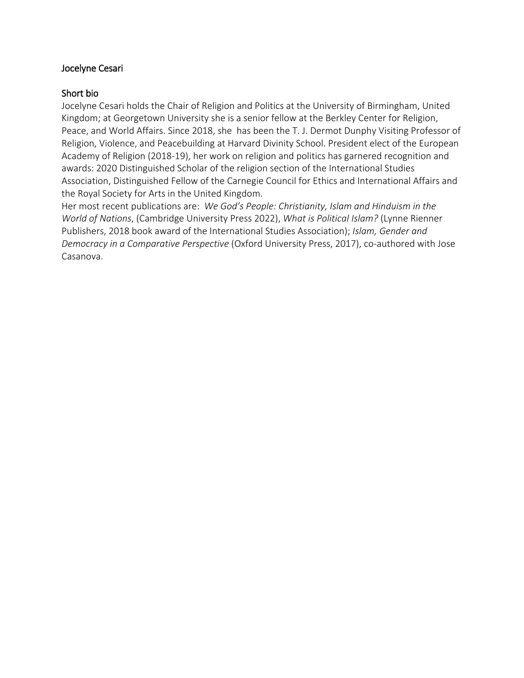# Jocelyne Cesari

# Short bio

Jocelyne Cesari holds the Chair of Religion and Politics at the University of Birmingham, United Kingdom; at Georgetown University she is a senior fellow at the Berkley Center for Religion, Peace, and World Affairs. Since 2018, she has been the T. J. Dermot Dunphy Visiting Professor of Religion, Violence, and Peacebuilding at Harvard Divinity School. President elect of the European Academy of Religion (2018-19), her work on religion and politics has garnered recognition and awards: 2020 Distinguished Scholar of the religion section of the International Studies Association, Distinguished Fellow of the Carnegie Council for Ethics and International Affairs and the Royal Society for Arts in the United Kingdom.

Her most recent publications are: *We God's People: Christianity, Islam and Hinduism in the World of Nations*, (Cambridge University Press 2022), *What is Political Islam?* (Lynne Rienner Publishers, 2018 book award of the International Studies Association); *Islam, Gender and Democracy in a Comparative Perspective* (Oxford University Press, 2017), co-authored with Jose Casanova.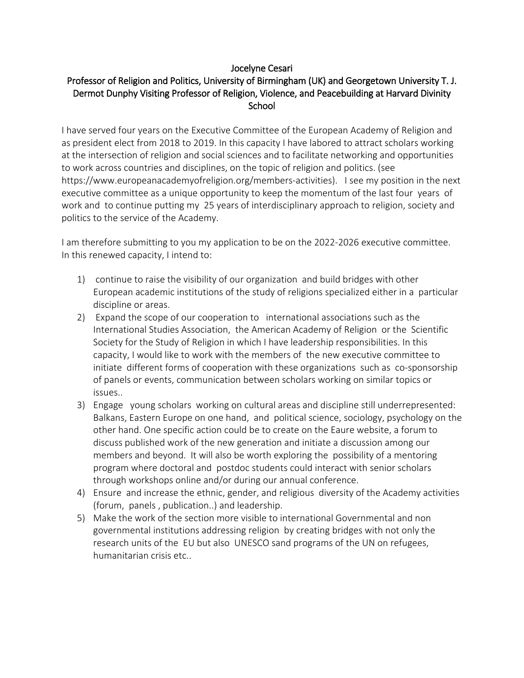# Jocelyne Cesari

# Professor of Religion and Politics, University of Birmingham (UK) and Georgetown University T. J. Dermot Dunphy Visiting Professor of Religion, Violence, and Peacebuilding at Harvard Divinity **School**

I have served four years on the Executive Committee of the European Academy of Religion and as president elect from 2018 to 2019. In this capacity I have labored to attract scholars working at the intersection of religion and social sciences and to facilitate networking and opportunities to work across countries and disciplines, on the topic of religion and politics. (see https://www.europeanacademyofreligion.org/members-activities). I see my position in the next executive committee as a unique opportunity to keep the momentum of the last four years of work and to continue putting my 25 years of interdisciplinary approach to religion, society and politics to the service of the Academy.

I am therefore submitting to you my application to be on the 2022-2026 executive committee. In this renewed capacity, I intend to:

- 1) continue to raise the visibility of our organization and build bridges with other European academic institutions of the study of religions specialized either in a particular discipline or areas.
- 2) Expand the scope of our cooperation to international associations such as the International Studies Association, the American Academy of Religion or the Scientific Society for the Study of Religion in which I have leadership responsibilities. In this capacity, I would like to work with the members of the new executive committee to initiate different forms of cooperation with these organizations such as co-sponsorship of panels or events, communication between scholars working on similar topics or issues..
- 3) Engage young scholars working on cultural areas and discipline still underrepresented: Balkans, Eastern Europe on one hand, and political science, sociology, psychology on the other hand. One specific action could be to create on the Eaure website, a forum to discuss published work of the new generation and initiate a discussion among our members and beyond. It will also be worth exploring the possibility of a mentoring program where doctoral and postdoc students could interact with senior scholars through workshops online and/or during our annual conference.
- 4) Ensure and increase the ethnic, gender, and religious diversity of the Academy activities (forum, panels , publication..) and leadership.
- 5) Make the work of the section more visible to international Governmental and non governmental institutions addressing religion by creating bridges with not only the research units of the EU but also UNESCO sand programs of the UN on refugees, humanitarian crisis etc..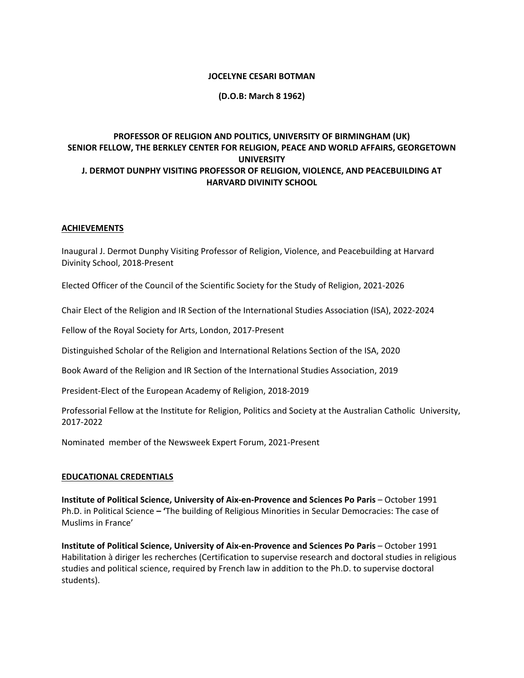#### **JOCELYNE CESARI BOTMAN**

## **(D.O.B: March 8 1962)**

## **PROFESSOR OF RELIGION AND POLITICS, UNIVERSITY OF BIRMINGHAM (UK) SENIOR FELLOW, THE BERKLEY CENTER FOR RELIGION, PEACE AND WORLD AFFAIRS, GEORGETOWN UNIVERSITY J. DERMOT DUNPHY VISITING PROFESSOR OF RELIGION, VIOLENCE, AND PEACEBUILDING AT HARVARD DIVINITY SCHOOL**

#### **ACHIEVEMENTS**

Inaugural J. Dermot Dunphy Visiting Professor of Religion, Violence, and Peacebuilding at Harvard Divinity School, 2018-Present

Elected Officer of the Council of the Scientific Society for the Study of Religion, 2021-2026

Chair Elect of the Religion and IR Section of the International Studies Association (ISA), 2022-2024

Fellow of the Royal Society for Arts, London, 2017-Present

Distinguished Scholar of the Religion and International Relations Section of the ISA, 2020

Book Award of the Religion and IR Section of the International Studies Association, 2019

President-Elect of the European Academy of Religion, 2018-2019

Professorial Fellow at the Institute for Religion, Politics and Society at the Australian Catholic University, 2017-2022

Nominated member of the Newsweek Expert Forum, 2021-Present

#### **EDUCATIONAL CREDENTIALS**

**Institute of Political Science, University of Aix‐en-Provence and Sciences Po Paris** – October 1991 Ph.D. in Political Science **– '**The building of Religious Minorities in Secular Democracies: The case of Muslims in France'

**Institute of Political Science, University of Aix‐en-Provence and Sciences Po Paris** – October 1991 Habilitation à diriger les recherches (Certification to supervise research and doctoral studies in religious studies and political science, required by French law in addition to the Ph.D. to supervise doctoral students).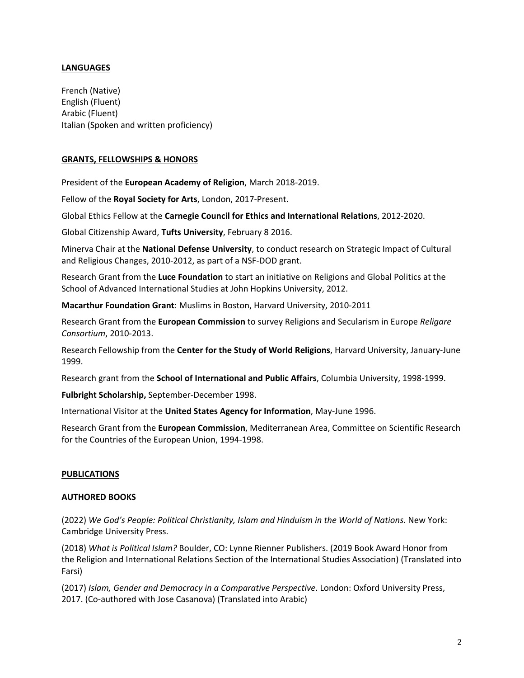## **LANGUAGES**

French (Native) English (Fluent) Arabic (Fluent) Italian (Spoken and written proficiency)

## **GRANTS, FELLOWSHIPS & HONORS**

President of the **European Academy of Religion**, March 2018-2019.

Fellow of the **Royal Society for Arts**, London, 2017-Present.

Global Ethics Fellow at the **Carnegie Council for Ethics and International Relations**, 2012-2020.

Global Citizenship Award, **Tufts University**, February 8 2016.

Minerva Chair at the **National Defense University**, to conduct research on Strategic Impact of Cultural and Religious Changes, 2010-2012, as part of a NSF-DOD grant.

Research Grant from the **Luce Foundation** to start an initiative on Religions and Global Politics at the School of Advanced International Studies at John Hopkins University, 2012.

**Macarthur Foundation Grant**: Muslims in Boston, Harvard University, 2010-2011

Research Grant from the **European Commission** to survey Religions and Secularism in Europe *Religare Consortium*, 2010-2013.

Research Fellowship from the **Center for the Study of World Religions**, Harvard University, January-June 1999.

Research grant from the **School of International and Public Affairs**, Columbia University, 1998-1999.

**Fulbright Scholarship,** September-December 1998.

International Visitor at the **United States Agency for Information**, May-June 1996.

Research Grant from the **European Commission**, Mediterranean Area, Committee on Scientific Research for the Countries of the European Union, 1994-1998.

## **PUBLICATIONS**

## **AUTHORED BOOKS**

(2022) *We God's People: Political Christianity, Islam and Hinduism in the World of Nations*. New York: Cambridge University Press.

(2018) *What is Political Islam?* Boulder, CO: Lynne Rienner Publishers. (2019 Book Award Honor from the Religion and International Relations Section of the International Studies Association) (Translated into Farsi)

(2017) *Islam, Gender and Democracy in a Comparative Perspective*. London: Oxford University Press, 2017. (Co-authored with Jose Casanova) (Translated into Arabic)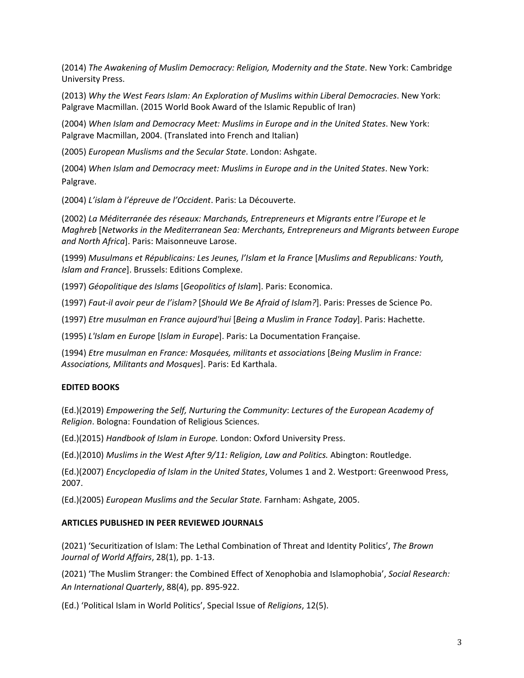(2014) *The Awakening of Muslim Democracy: Religion, Modernity and the State*. New York: Cambridge University Press.

(2013) *Why the West Fears Islam: An Exploration of Muslims within Liberal Democracies*. New York: Palgrave Macmillan. (2015 World Book Award of the Islamic Republic of Iran)

(2004) *When Islam and Democracy Meet: Muslims in Europe and in the United States*. New York: Palgrave Macmillan, 2004. (Translated into French and Italian)

(2005) *European Muslisms and the Secular State*. London: Ashgate.

(2004) *When Islam and Democracy meet: Muslims in Europe and in the United States*. New York: Palgrave.

(2004) *L'islam à l'épreuve de l'Occident*. Paris: La Découverte.

(2002) *La Méditerranée des réseaux: Marchands, Entrepreneurs et Migrants entre l'Europe et le Maghreb* [*Networks in the Mediterranean Sea: Merchants, Entrepreneurs and Migrants between Europe and North Africa*]. Paris: Maisonneuve Larose.

(1999) *Musulmans et Républicains: Les Jeunes, l'Islam et la France* [*Muslims and Republicans: Youth, Islam and France*]. Brussels: Editions Complexe.

(1997) *Géopolitique des Islams* [*Geopolitics of Islam*]. Paris: Economica.

(1997) *Faut‐il avoir peur de l'islam?* [*Should We Be Afraid of Islam?*]. Paris: Presses de Science Po.

(1997) *Etre musulman en France aujourd'hui* [*Being a Muslim in France Today*]. Paris: Hachette.

(1995) *L'Islam en Europe* [*Islam in Europe*]. Paris: La Documentation Française.

(1994) *Etre musulman en France: Mosquées, militants et associations* [*Being Muslim in France: Associations, Militants and Mosques*]. Paris: Ed Karthala.

## **EDITED BOOKS**

(Ed.)(2019) *Empowering the Self, Nurturing the Community*: *Lectures of the European Academy of Religion*. Bologna: Foundation of Religious Sciences.

(Ed.)(2015) *Handbook of Islam in Europe.* London: Oxford University Press.

(Ed.)(2010) *Muslims in the West After 9/11: Religion, Law and Politics.* Abington: Routledge.

(Ed.)(2007) *Encyclopedia of Islam in the United States*, Volumes 1 and 2. Westport: Greenwood Press, 2007.

(Ed.)(2005) *European Muslims and the Secular State.* Farnham: Ashgate, 2005.

#### **ARTICLES PUBLISHED IN PEER REVIEWED JOURNALS**

(2021) 'Securitization of Islam: The Lethal Combination of Threat and Identity Politics', *The Brown Journal of World Affairs*, 28(1), pp. 1-13.

(2021) 'The Muslim Stranger: the Combined Effect of Xenophobia and Islamophobia', *Social Research: An International Quarterly*, 88(4), pp. 895-922.

(Ed.) 'Political Islam in World Politics', Special Issue of *Religions*, 12(5).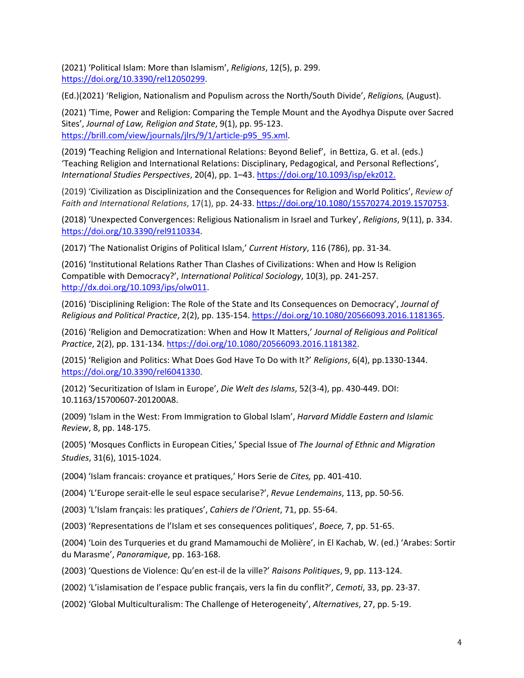(2021) 'Political Islam: More than Islamism', *Religions*, 12(5), p. 299. [https://doi.org/10.3390/rel12050299.](https://doi.org/10.3390/rel12050299)

(Ed.)(2021) 'Religion, Nationalism and Populism across the North/South Divide', *Religions,* (August).

(2021) 'Time, Power and Religion: Comparing the Temple Mount and the Ayodhya Dispute over Sacred Sites', *Journal of Law, Religion and State*, 9(1), pp. 95-123. [https://brill.com/view/journals/jlrs/9/1/article-p95\\_95.xml.](https://brill.com/view/journals/jlrs/9/1/article-p95_95.xml)

(2019) **'**Teaching Religion and International Relations: Beyond Belief', in Bettiza, G. et al. (eds.) 'Teaching Religion and International Relations: Disciplinary, Pedagogical, and Personal Reflections', *International Studies Perspectives*, 20(4), pp. 1–43. [https://doi.org/10.1093/isp/ekz012.](https://doi.org/10.1093/isp/ekz012)

(2019) 'Civilization as Disciplinization and the Consequences for Religion and World Politics', *Review of Faith and International Relations*, 17(1), pp. 24-33. [https://doi.org/10.1080/15570274.2019.1570753.](https://doi.org/10.1080/15570274.2019.1570753)

(2018) 'Unexpected Convergences: Religious Nationalism in Israel and Turkey', *Religions*, 9(11), p. 334. [https://doi.org/10.3390/rel9110334.](https://doi.org/10.3390/rel9110334)

(2017) 'The Nationalist Origins of Political Islam,' *Current History*, 116 (786), pp. 31-34.

(2016) 'Institutional Relations Rather Than Clashes of Civilizations: When and How Is Religion Compatible with Democracy?', *International Political Sociology*, 10(3), pp. 241-257. [http://dx.doi.org/10.1093/ips/olw011.](http://dx.doi.org/10.1093/ips/olw011)

(2016) 'Disciplining Religion: The Role of the State and Its Consequences on Democracy', *Journal of Religious and Political Practice*, 2(2), pp. 135-154. [https://doi.org/10.1080/20566093.2016.1181365.](https://doi.org/10.1080/20566093.2016.1181365)

(2016) 'Religion and Democratization: When and How It Matters,' *Journal of Religious and Political Practice*, 2(2), pp. 131-134. [https://doi.org/10.1080/20566093.2016.1181382.](https://doi.org/10.1080/20566093.2016.1181382)

(2015) 'Religion and Politics: What Does God Have To Do with It?' *Religions*, 6(4), pp.1330-1344. [https://doi.org/10.3390/rel6041330.](https://doi.org/10.3390/rel6041330)

(2012) 'Securitization of Islam in Europe', *Die Welt des Islams*, 52(3-4), pp. 430-449. DOI: 10.1163/15700607-201200A8.

(2009) 'Islam in the West: From Immigration to Global Islam', *Harvard Middle Eastern and Islamic Review*, 8, pp. 148-175.

(2005) 'Mosques Conflicts in European Cities,' Special Issue of *The Journal of Ethnic and Migration Studies*, 31(6), 1015-1024.

(2004) 'Islam francais: croyance et pratiques,' Hors Serie de *Cites,* pp. 401-410.

(2004) 'L'Europe serait-elle le seul espace secularise?', *Revue Lendemains*, 113, pp. 50-56.

(2003) 'L'Islam français: les pratiques', *Cahiers de l'Orient*, 71, pp. 55-64.

(2003) 'Representations de l'Islam et ses consequences politiques', *Boece,* 7, pp. 51-65.

(2004) 'Loin des Turqueries et du grand Mamamouchi de Molière', in El Kachab, W. (ed.) 'Arabes: Sortir du Marasme', *Panoramique*, pp. 163-168.

(2003) 'Questions de Violence: Qu'en est-il de la ville?' *Raisons Politiques*, 9, pp. 113-124.

(2002) 'L'islamisation de l'espace public français, vers la fin du conflit?', *Cemoti*, 33, pp. 23-37.

(2002) 'Global Multiculturalism: The Challenge of Heterogeneity', *Alternatives*, 27, pp. 5-19.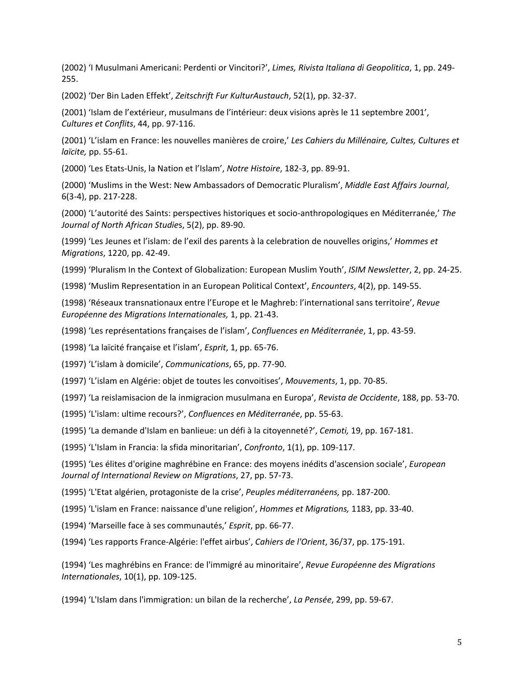(2002) 'I Musulmani Americani: Perdenti or Vincitori?', *Limes, Rivista Italiana di Geopolitica*, 1, pp. 249- 255.

(2002) 'Der Bin Laden Effekt', *Zeitschrift Fur KulturAustauch*, 52(1), pp. 32-37.

(2001) 'Islam de l'extérieur, musulmans de l'intérieur: deux visions après le 11 septembre 2001', *Cultures et Conflits*, 44, pp. 97-116.

(2001) 'L'islam en France: les nouvelles manières de croire,' *Les Cahiers du Millénaire, Cultes, Cultures et laïcite,* pp. 55-61.

(2000) 'Les Etats-Unis, la Nation et l'Islam', *Notre Histoire*, 182-3, pp. 89-91.

(2000) 'Muslims in the West: New Ambassadors of Democratic Pluralism', *Middle East Affairs Journal*, 6(3-4), pp. 217-228.

(2000) 'L'autorité des Saints: perspectives historiques et socio-anthropologiques en Méditerranée,' *The Journal of North African Studie*s, 5(2), pp. 89-90.

(1999) 'Les Jeunes et l'islam: de l'exil des parents à la celebration de nouvelles origins,' *Hommes et Migrations*, 1220, pp. 42-49.

(1999) 'Pluralism In the Context of Globalization: European Muslim Youth', *ISIM Newsletter*, 2, pp. 24-25.

(1998) 'Muslim Representation in an European Political Context', *Encounters*, 4(2), pp. 149-55.

(1998) 'Réseaux transnationaux entre l'Europe et le Maghreb: l'international sans territoire', *Revue Européenne des Migrations Internationales,* 1, pp. 21-43.

(1998) 'Les représentations françaises de l'islam', *Confluences en Méditerranée*, 1, pp. 43-59.

(1998) 'La laïcité française et l'islam', *Esprit*, 1, pp. 65-76.

(1997) 'L'islam à domicile', *Communications*, 65, pp. 77-90.

(1997) 'L'islam en Algérie: objet de toutes les convoitises', *Mouvements*, 1, pp. 70-85.

(1997) 'La reislamisacion de la inmigracion musulmana en Europa', *Revista de Occidente*, 188, pp. 53-70.

(1995) 'L'islam: ultime recours?', *Confluences en Méditerranée*, pp. 55-63.

(1995) 'La demande d'Islam en banlieue: un défi à la citoyenneté?', *Cemoti,* 19, pp. 167-181.

(1995) 'L'Islam in Francia: la sfida minoritarian', *Confronto*, 1(1), pp. 109-117.

(1995) 'Les élites d'origine maghrébine en France: des moyens inédits d'ascension sociale', *European Journal of International Review on Migrations*, 27, pp. 57-73.

(1995) 'L'Etat algérien, protagoniste de la crise', *Peuples méditerranéens,* pp. 187-200.

(1995) 'L'islam en France: naissance d'une religion', *Hommes et Migrations,* 1183, pp. 33-40.

(1994) 'Marseille face à ses communautés,' *Esprit*, pp. 66-77.

(1994) 'Les rapports France-Algérie: l'effet airbus', *Cahiers de l'Orient*, 36/37, pp. 175-191.

(1994) 'Les maghrébins en France: de l'immigré au minoritaire', *Revue Européenne des Migrations Internationales*, 10(1), pp. 109-125.

(1994) 'L'Islam dans l'immigration: un bilan de la recherche', *La Pensée*, 299, pp. 59-67.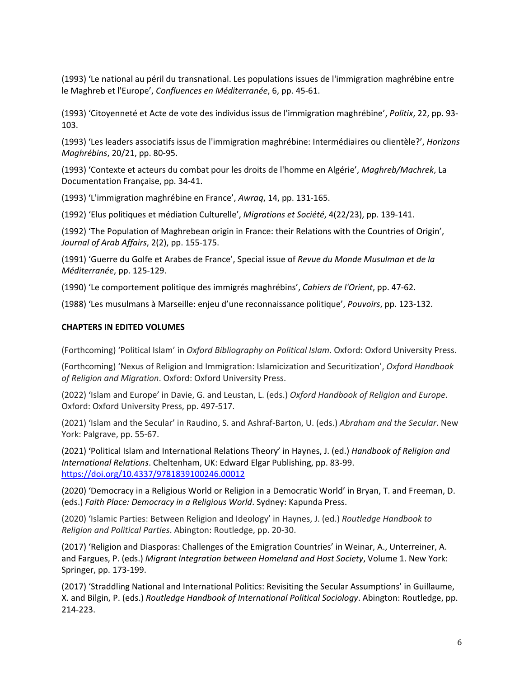(1993) 'Le national au péril du transnational. Les populations issues de l'immigration maghrébine entre le Maghreb et l'Europe', *Confluences en Méditerranée*, 6, pp. 45-61.

(1993) 'Citoyenneté et Acte de vote des individus issus de l'immigration maghrébine', *Politix*, 22, pp. 93- 103.

(1993) 'Les leaders associatifs issus de l'immigration maghrébine: Intermédiaires ou clientèle?', *Horizons Maghrébins*, 20/21, pp. 80-95.

(1993) 'Contexte et acteurs du combat pour les droits de l'homme en Algérie', *Maghreb/Machrek*, La Documentation Française, pp. 34-41.

(1993) 'L'immigration maghrébine en France', *Awraq*, 14, pp. 131-165.

(1992) 'Elus politiques et médiation Culturelle', *Migrations et Société*, 4(22/23), pp. 139-141.

(1992) 'The Population of Maghrebean origin in France: their Relations with the Countries of Origin', *Journal of Arab Affairs*, 2(2), pp. 155-175.

(1991) 'Guerre du Golfe et Arabes de France', Special issue of *Revue du Monde Musulman et de la Méditerranée*, pp. 125-129.

(1990) 'Le comportement politique des immigrés maghrébins', *Cahiers de l'Orient*, pp. 47-62.

(1988) 'Les musulmans à Marseille: enjeu d'une reconnaissance politique', *Pouvoirs*, pp. 123-132.

## **CHAPTERS IN EDITED VOLUMES**

(Forthcoming) 'Political Islam' in *Oxford Bibliography on Political Islam*. Oxford: Oxford University Press.

(Forthcoming) 'Nexus of Religion and Immigration: Islamicization and Securitization', *Oxford Handbook of Religion and Migration*. Oxford: Oxford University Press.

(2022) 'Islam and Europe' in Davie, G. and Leustan, L. (eds.) *Oxford Handbook of Religion and Europe*. Oxford: Oxford University Press, pp. 497-517.

(2021) 'Islam and the Secular' in Raudino, S. and Ashraf-Barton, U. (eds.) *Abraham and the Secular*. New York: Palgrave, pp. 55-67.

(2021) 'Political Islam and International Relations Theory' in Haynes, J. (ed.) *Handbook of Religion and International Relations*. Cheltenham, UK: Edward Elgar Publishing, pp. 83-99. <https://doi.org/10.4337/9781839100246.00012>

(2020) 'Democracy in a Religious World or Religion in a Democratic World' in Bryan, T. and Freeman, D. (eds.) *Faith Place: Democracy in a Religious World*. Sydney: Kapunda Press.

(2020) 'Islamic Parties: Between Religion and Ideology' in Haynes, J. (ed.) *Routledge Handbook to Religion and Political Parties*. Abington: Routledge, pp. 20-30.

(2017) 'Religion and Diasporas: Challenges of the Emigration Countries' in Weinar, A., Unterreiner, A. and Fargues, P. (eds.) *Migrant Integration between Homeland and Host Society*, Volume 1. New York: Springer, pp. 173-199.

(2017) 'Straddling National and International Politics: Revisiting the Secular Assumptions' in Guillaume, X. and Bilgin, P. (eds.) *Routledge Handbook of International Political Sociology*. Abington: Routledge, pp. 214-223.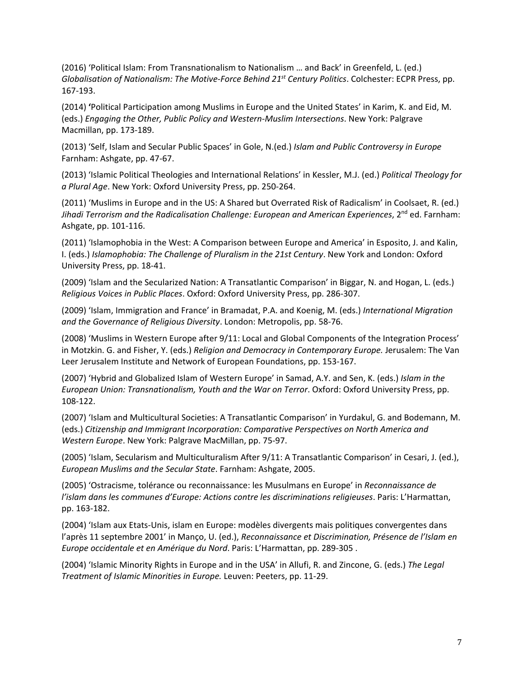(2016) 'Political Islam: From Transnationalism to Nationalism … and Back' in Greenfeld, L. (ed.) *Globalisation of Nationalism: The Motive-Force Behind 21st Century Politics*. Colchester: ECPR Press, pp. 167-193.

(2014) **'**Political Participation among Muslims in Europe and the United States' in Karim, K. and Eid, M. (eds.) *Engaging the Other, Public Policy and Western-Muslim Intersections*. New York: Palgrave Macmillan, pp. 173-189.

(2013) 'Self, Islam and Secular Public Spaces' in Gole, N.(ed.) *Islam and Public Controversy in Europe*  Farnham: Ashgate, pp. 47-67.

(2013) 'Islamic Political Theologies and International Relations' in Kessler, M.J. (ed.) *Political Theology for a Plural Age*. New York: Oxford University Press, pp. 250-264.

(2011) 'Muslims in Europe and in the US: A Shared but Overrated Risk of Radicalism' in Coolsaet, R. (ed.) *Jihadi Terrorism and the Radicalisation Challenge: European and American Experiences*, 2nd ed. Farnham: Ashgate, pp. 101-116.

(2011) 'Islamophobia in the West: A Comparison between Europe and America' in Esposito, J. and Kalin, I. (eds.) *Islamophobia: The Challenge of Pluralism in the 21st Century*. New York and London: Oxford University Press, pp. 18-41.

(2009) 'Islam and the Secularized Nation: A Transatlantic Comparison' in Biggar, N. and Hogan, L. (eds.) *Religious Voices in Public Places*. Oxford: Oxford University Press, pp. 286-307.

(2009) 'Islam, Immigration and France' in Bramadat, P.A. and Koenig, M. (eds.) *International Migration and the Governance of Religious Diversity*. London: Metropolis, pp. 58-76.

(2008) 'Muslims in Western Europe after 9/11: Local and Global Components of the Integration Process' in Motzkin. G. and Fisher, Y. (eds.) *Religion and Democracy in Contemporary Europe.* Jerusalem: The Van Leer Jerusalem Institute and Network of European Foundations, pp. 153-167.

(2007) 'Hybrid and Globalized Islam of Western Europe' in Samad, A.Y. and Sen, K. (eds.) *Islam in the European Union: Transnationalism, Youth and the War on Terror*. Oxford: Oxford University Press, pp. 108-122.

(2007) 'Islam and Multicultural Societies: A Transatlantic Comparison' in Yurdakul, G. and Bodemann, M. (eds.) *Citizenship and Immigrant Incorporation: Comparative Perspectives on North America and Western Europe*. New York: Palgrave MacMillan, pp. 75-97.

(2005) 'Islam, Secularism and Multiculturalism After 9/11: A Transatlantic Comparison' in Cesari, J. (ed.), *European Muslims and the Secular State*. Farnham: Ashgate, 2005.

(2005) 'Ostracisme, tolérance ou reconnaissance: les Musulmans en Europe' in *Reconnaissance de l'islam dans les communes d'Europe: Actions contre les discriminations religieuses*. Paris: L'Harmattan, pp. 163-182.

(2004) 'Islam aux Etats-Unis, islam en Europe: modèles divergents mais politiques convergentes dans l'après 11 septembre 2001' in Manço, U. (ed.), *Reconnaissance et Discrimination, Présence de l'Islam en Europe occidentale et en Amérique du Nord*. Paris: L'Harmattan, pp. 289-305 .

(2004) 'Islamic Minority Rights in Europe and in the USA' in Allufi, R. and Zincone, G. (eds.) *The Legal Treatment of Islamic Minorities in Europe.* Leuven: Peeters, pp. 11-29.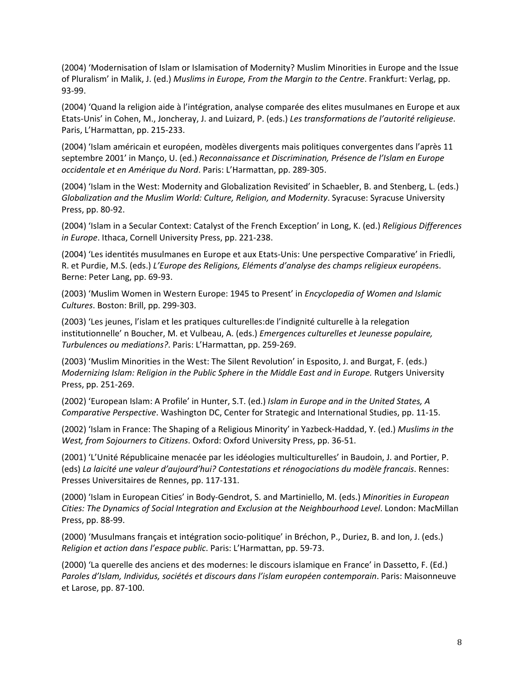(2004) 'Modernisation of Islam or Islamisation of Modernity? Muslim Minorities in Europe and the Issue of Pluralism' in Malik, J. (ed.) *Muslims in Europe, From the Margin to the Centre*. Frankfurt: Verlag, pp. 93-99.

(2004) 'Quand la religion aide à l'intégration, analyse comparée des elites musulmanes en Europe et aux Etats-Unis' in Cohen, M., Joncheray, J. and Luizard, P. (eds.) *Les transformations de l'autorité religieuse*. Paris, L'Harmattan, pp. 215-233.

(2004) 'Islam américain et européen, modèles divergents mais politiques convergentes dans l'après 11 septembre 2001' in Manço, U. (ed.) *Reconnaissance et Discrimination, Présence de l'Islam en Europe occidentale et en Amérique du Nord*. Paris: L'Harmattan, pp. 289-305.

(2004) 'Islam in the West: Modernity and Globalization Revisited' in Schaebler, B. and Stenberg, L. (eds.) *Globalization and the Muslim World: Culture, Religion, and Modernity*. Syracuse: Syracuse University Press, pp. 80-92.

(2004) 'Islam in a Secular Context: Catalyst of the French Exception' in Long, K. (ed.) *Religious Differences in Europe*. Ithaca, Cornell University Press, pp. 221-238.

(2004) 'Les identités musulmanes en Europe et aux Etats-Unis: Une perspective Comparative' in Friedli, R. et Purdie, M.S. (eds.) *L'Europe des Religions, Eléments d'analyse des champs religieux européen*s. Berne: Peter Lang, pp. 69-93.

(2003) 'Muslim Women in Western Europe: 1945 to Present' in *Encyclopedia of Women and Islamic Cultures*. Boston: Brill, pp. 299-303.

(2003) 'Les jeunes, l'islam et les pratiques culturelles:de l'indignité culturelle à la relegation institutionnelle' n Boucher, M. et Vulbeau, A. (eds.) *Emergences culturelles et Jeunesse populaire, Turbulences ou mediations?*. Paris: L'Harmattan, pp. 259-269.

(2003) 'Muslim Minorities in the West: The Silent Revolution' in Esposito, J. and Burgat, F. (eds.) *Modernizing Islam: Religion in the Public Sphere in the Middle East and in Europe.* Rutgers University Press, pp. 251-269.

(2002) 'European Islam: A Profile' in Hunter, S.T. (ed.) *Islam in Europe and in the United States, A Comparative Perspective*. Washington DC, Center for Strategic and International Studies, pp. 11-15.

(2002) 'Islam in France: The Shaping of a Religious Minority' in Yazbeck-Haddad, Y. (ed.) *Muslims in the West, from Sojourners to Citizens*. Oxford: Oxford University Press, pp. 36-51.

(2001) 'L'Unité Républicaine menacée par les idéologies multiculturelles' in Baudoin, J. and Portier, P. (eds) *La laicité une valeur d'aujourd'hui? Contestations et rénogociations du modèle francais*. Rennes: Presses Universitaires de Rennes, pp. 117-131.

(2000) 'Islam in European Cities' in Body-Gendrot, S. and Martiniello, M. (eds.) *Minorities in European Cities: The Dynamics of Social Integration and Exclusion at the Neighbourhood Level*. London: MacMillan Press, pp. 88-99.

(2000) 'Musulmans français et intégration socio-politique' in Bréchon, P., Duriez, B. and Ion, J. (eds.) *Religion et action dans l'espace public*. Paris: L'Harmattan, pp. 59-73.

(2000) 'La querelle des anciens et des modernes: le discours islamique en France' in Dassetto, F. (Ed.) *Paroles d'Islam, Individus, sociétés et discours dans l'islam européen contemporain*. Paris: Maisonneuve et Larose, pp. 87-100.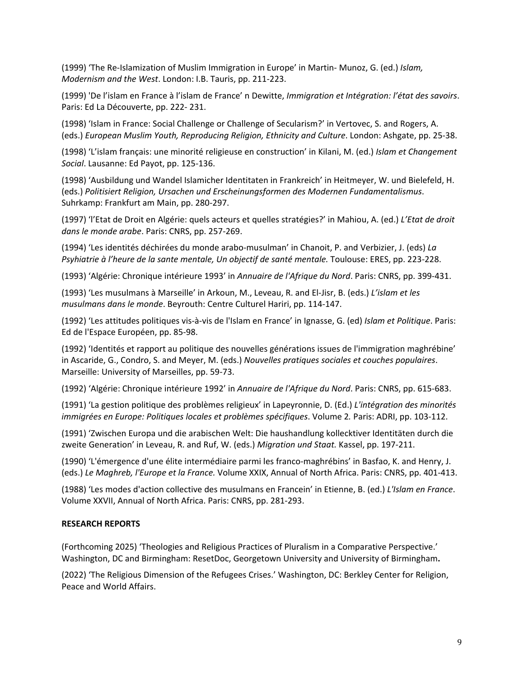(1999) 'The Re-Islamization of Muslim Immigration in Europe' in Martin- Munoz, G. (ed.) *Islam, Modernism and the West*. London: I.B. Tauris, pp. 211-223.

(1999) 'De l'islam en France à l'islam de France' n Dewitte, *Immigration et Intégration: l'état des savoirs*. Paris: Ed La Découverte, pp. 222- 231.

(1998) 'Islam in France: Social Challenge or Challenge of Secularism?' in Vertovec, S. and Rogers, A. (eds.) *European Muslim Youth, Reproducing Religion, Ethnicity and Culture*. London: Ashgate, pp. 25-38.

(1998) 'L'islam français: une minorité religieuse en construction' in Kilani, M. (ed.) *Islam et Changement Social*. Lausanne: Ed Payot, pp. 125-136.

(1998) 'Ausbildung und Wandel Islamicher Identitaten in Frankreich' in Heitmeyer, W. und Bielefeld, H. (eds.) *Politisiert Religion, Ursachen und Erscheinungsformen des Modernen Fundamentalismus*. Suhrkamp: Frankfurt am Main, pp. 280-297.

(1997) 'l'Etat de Droit en Algérie: quels acteurs et quelles stratégies?' in Mahiou, A. (ed.) *L'Etat de droit dans le monde arabe*. Paris: CNRS, pp. 257-269.

(1994) 'Les identités déchirées du monde arabo-musulman' in Chanoit, P. and Verbizier, J. (eds) *La Psyhiatrie à l'heure de la sante mentale, Un objectif de santé mentale.* Toulouse: ERES, pp. 223-228.

(1993) 'Algérie: Chronique intérieure 1993' in *Annuaire de l'Afrique du Nord*. Paris: CNRS, pp. 399-431.

(1993) 'Les musulmans à Marseille' in Arkoun, M., Leveau, R. and El-Jisr, B. (eds.) *L'islam et les musulmans dans le monde*. Beyrouth: Centre Culturel Hariri, pp. 114-147.

(1992) 'Les attitudes politiques vis-à-vis de l'Islam en France' in Ignasse, G. (ed) *Islam et Politique*. Paris: Ed de l'Espace Européen, pp. 85-98.

(1992) 'Identités et rapport au politique des nouvelles générations issues de l'immigration maghrébine' in Ascaride, G., Condro, S. and Meyer, M. (eds.) *Nouvelles pratiques sociales et couches populaires*. Marseille: University of Marseilles, pp. 59-73.

(1992) 'Algérie: Chronique intérieure 1992' in *Annuaire de l'Afrique du Nord*. Paris: CNRS, pp. 615-683.

(1991) 'La gestion politique des problèmes religieux' in Lapeyronnie, D. (Ed.) *L'intégration des minorités immigrées en Europe: Politiques locales et problèmes spécifiques*. Volume 2. Paris: ADRI, pp. 103-112.

(1991) 'Zwischen Europa und die arabischen Welt: Die haushandlung kollecktiver Identitäten durch die zweite Generation' in Leveau, R. and Ruf, W. (eds.) *Migration und Staat.* Kassel, pp. 197-211.

(1990) 'L'émergence d'une élite intermédiaire parmi les franco-maghrébins' in Basfao, K. and Henry, J. (eds.) *Le Maghreb, l'Europe et la France.* Volume XXIX, Annual of North Africa. Paris: CNRS, pp. 401-413.

(1988) 'Les modes d'action collective des musulmans en Francein' in Etienne, B. (ed.) *L'Islam en France*. Volume XXVII, Annual of North Africa. Paris: CNRS, pp. 281-293.

#### **RESEARCH REPORTS**

(Forthcoming 2025) 'Theologies and Religious Practices of Pluralism in a Comparative Perspective.' Washington, DC and Birmingham: ResetDoc, Georgetown University and University of Birmingham**.** 

(2022) 'The Religious Dimension of the Refugees Crises.' Washington, DC: Berkley Center for Religion, Peace and World Affairs.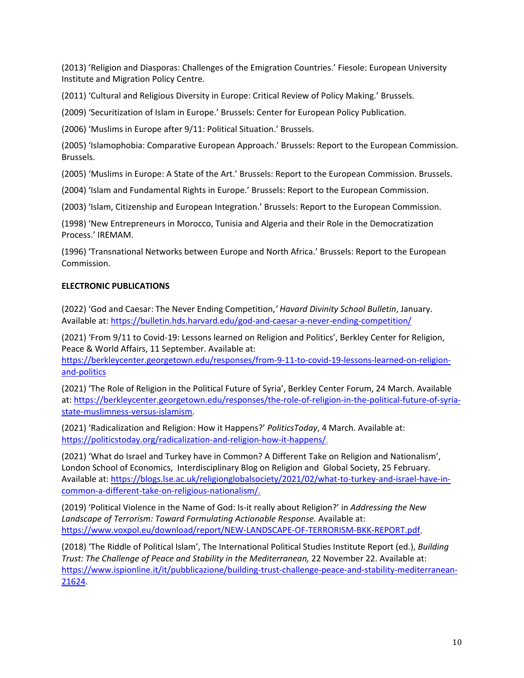(2013) 'Religion and Diasporas: Challenges of the Emigration Countries.' Fiesole: European University Institute and Migration Policy Centre.

(2011) 'Cultural and Religious Diversity in Europe: Critical Review of Policy Making.' Brussels.

(2009) 'Securitization of Islam in Europe.' Brussels: Center for European Policy Publication.

(2006) 'Muslims in Europe after 9/11: Political Situation.' Brussels.

(2005) 'Islamophobia: Comparative European Approach.' Brussels: Report to the European Commission. Brussels.

(2005) 'Muslims in Europe: A State of the Art.' Brussels: Report to the European Commission. Brussels.

(2004) 'Islam and Fundamental Rights in Europe.' Brussels: Report to the European Commission.

(2003) 'Islam, Citizenship and European Integration.' Brussels: Report to the European Commission.

(1998) 'New Entrepreneurs in Morocco, Tunisia and Algeria and their Role in the Democratization Process.' IREMAM.

(1996) 'Transnational Networks between Europe and North Africa.' Brussels: Report to the European Commission.

## **ELECTRONIC PUBLICATIONS**

(2022) 'God and Caesar: The Never Ending Competition,*' Havard Divinity School Bulletin*, January. Available at: <https://bulletin.hds.harvard.edu/god-and-caesar-a-never-ending-competition/>

(2021) 'From 9/11 to Covid-19: Lessons learned on Religion and Politics', Berkley Center for Religion, Peace & World Affairs, 11 September. Available at:

[https://berkleycenter.georgetown.edu/responses/from-9-11-to-covid-19-lessons-learned-on-religion](https://berkleycenter.georgetown.edu/responses/from-9-11-to-covid-19-lessons-learned-on-religion-and-politics)[and-politics](https://berkleycenter.georgetown.edu/responses/from-9-11-to-covid-19-lessons-learned-on-religion-and-politics)

(2021) 'The Role of Religion in the Political Future of Syria', Berkley Center Forum, 24 March. Available at: [https://berkleycenter.georgetown.edu/responses/the-role-of-religion-in-the-political-future-of-syria](https://berkleycenter.georgetown.edu/responses/the-role-of-religion-in-the-political-future-of-syria-state-muslimness-versus-islamism)[state-muslimness-versus-islamism.](https://berkleycenter.georgetown.edu/responses/the-role-of-religion-in-the-political-future-of-syria-state-muslimness-versus-islamism)

(2021) 'Radicalization and Religion: How it Happens?' *PoliticsToday*, 4 March. Available at: [https://politicstoday.org/radicalization-and-religion-how-it-happens/.](https://politicstoday.org/radicalization-and-religion-how-it-happens/)

(2021) 'What do Israel and Turkey have in Common? A Different Take on Religion and Nationalism', London School of Economics, Interdisciplinary Blog on Religion and Global Society, 25 February. Available at: [https://blogs.lse.ac.uk/religionglobalsociety/2021/02/what-to-turkey-and-israel-have-in](https://blogs.lse.ac.uk/religionglobalsociety/2021/02/what-to-turkey-and-israel-have-in-common-a-different-take-on-religious-nationalism/)[common-a-different-take-on-religious-nationalism/.](https://blogs.lse.ac.uk/religionglobalsociety/2021/02/what-to-turkey-and-israel-have-in-common-a-different-take-on-religious-nationalism/)

(2019) 'Political Violence in the Name of God: Is-it really about Religion?' in *Addressing the New Landscape of Terrorism: Toward Formulating Actionable Response.* Available at: [https://www.voxpol.eu/download/report/NEW-LANDSCAPE-OF-TERRORISM-BKK-REPORT.pdf.](https://www.voxpol.eu/download/report/NEW-LANDSCAPE-OF-TERRORISM-BKK-REPORT.pdf)

(2018) 'The Riddle of Political Islam', The International Political Studies Institute Report (ed.), *Building Trust: The Challenge of Peace and Stability in the Mediterranean,* 22 November 22. Available at: [https://www.ispionline.it/it/pubblicazione/building-trust-challenge-peace-and-stability-mediterranean-](https://www.ispionline.it/it/pubblicazione/building-trust-challenge-peace-and-stability-mediterranean-21624)[21624.](https://www.ispionline.it/it/pubblicazione/building-trust-challenge-peace-and-stability-mediterranean-21624)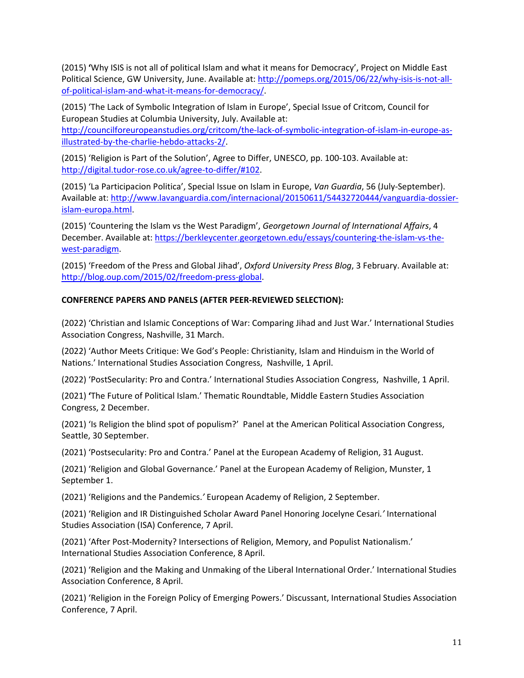(2015) **'**Why ISIS is not all of political Islam and what it means for Democracy', Project on Middle East Political Science, GW University, June. Available at: [http://pomeps.org/2015/06/22/why-isis-is-not-all](http://pomeps.org/2015/06/22/why-isis-is-not-all-of-political-islam-and-what-it-means-for-democracy/)[of-political-islam-and-what-it-means-for-democracy/.](http://pomeps.org/2015/06/22/why-isis-is-not-all-of-political-islam-and-what-it-means-for-democracy/)

(2015) 'The Lack of Symbolic Integration of Islam in Europe', Special Issue of Critcom, Council for European Studies at Columbia University, July. Available at: [http://councilforeuropeanstudies.org/critcom/the-lack-of-symbolic-integration-of-islam-in-europe-as](http://councilforeuropeanstudies.org/critcom/the-lack-of-symbolic-integration-of-islam-in-europe-as-illustrated-by-the-charlie-hebdo-attacks-2/)[illustrated-by-the-charlie-hebdo-attacks-2/.](http://councilforeuropeanstudies.org/critcom/the-lack-of-symbolic-integration-of-islam-in-europe-as-illustrated-by-the-charlie-hebdo-attacks-2/)

(2015) 'Religion is Part of the Solution', Agree to Differ, UNESCO, pp. 100-103. Available at: [http://digital.tudor-rose.co.uk/agree-to-differ/#102.](http://digital.tudor-rose.co.uk/agree-to-differ/#102)

(2015) 'La Participacion Politica', Special Issue on Islam in Europe, *Van Guardia*, 56 (July-September). Available at: [http://www.lavanguardia.com/internacional/20150611/54432720444/vanguardia-dossier](http://www.lavanguardia.com/internacional/20150611/54432720444/vanguardia-dossier-islam-europa.html)[islam-europa.html.](http://www.lavanguardia.com/internacional/20150611/54432720444/vanguardia-dossier-islam-europa.html) 

(2015) 'Countering the Islam vs the West Paradigm', *Georgetown Journal of International Affairs*, 4 December. Available at: [https://berkleycenter.georgetown.edu/essays/countering-the-islam-vs-the](https://berkleycenter.georgetown.edu/essays/countering-the-islam-vs-the-west-paradigm)[west-paradigm.](https://berkleycenter.georgetown.edu/essays/countering-the-islam-vs-the-west-paradigm)

(2015) 'Freedom of the Press and Global Jihad', *Oxford University Press Blog*, 3 February. Available at: [http://blog.oup.com/2015/02/freedom-press-global.](http://blog.oup.com/2015/02/freedom-press-global)

## **CONFERENCE PAPERS AND PANELS (AFTER PEER-REVIEWED SELECTION):**

(2022) 'Christian and Islamic Conceptions of War: Comparing Jihad and Just War.' International Studies Association Congress, Nashville, 31 March.

(2022) 'Author Meets Critique: We God's People: Christianity, Islam and Hinduism in the World of Nations.' International Studies Association Congress, Nashville, 1 April.

(2022) 'PostSecularity: Pro and Contra.' International Studies Association Congress,Nashville, 1 April.

(2021) **'**The Future of Political Islam.' Thematic Roundtable, Middle Eastern Studies Association Congress, 2 December.

(2021) 'Is Religion the blind spot of populism?' Panel at the American Political Association Congress, Seattle, 30 September.

(2021) 'Postsecularity: Pro and Contra.' Panel at the European Academy of Religion, 31 August.

(2021) 'Religion and Global Governance.' Panel at the European Academy of Religion, Munster, 1 September 1.

(2021) 'Religions and the Pandemics.*'* European Academy of Religion, 2 September.

(2021) 'Religion and IR Distinguished Scholar Award Panel Honoring Jocelyne Cesari*.'* International Studies Association (ISA) Conference, 7 April.

(2021) 'After Post-Modernity? Intersections of Religion, Memory, and Populist Nationalism.' International Studies Association Conference, 8 April.

(2021) 'Religion and the Making and Unmaking of the Liberal International Order.' International Studies Association Conference, 8 April.

(2021) 'Religion in the Foreign Policy of Emerging Powers.' Discussant, International Studies Association Conference, 7 April.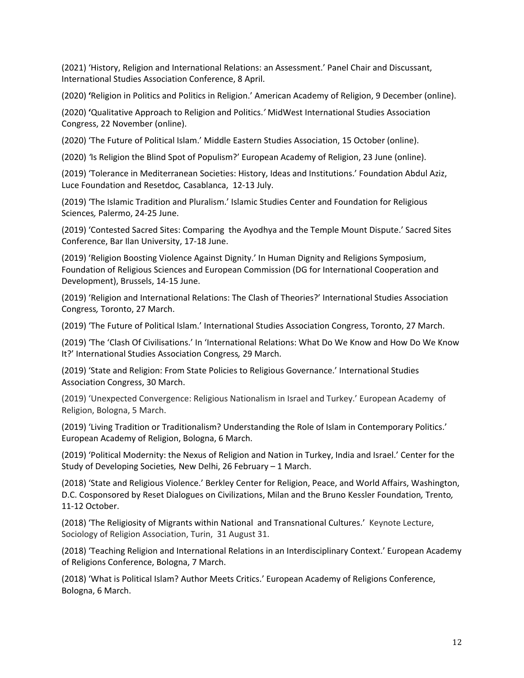(2021) 'History, Religion and International Relations: an Assessment.' Panel Chair and Discussant, International Studies Association Conference, 8 April.

(2020) **'**Religion in Politics and Politics in Religion.' American Academy of Religion, 9 December (online).

(2020) **'**Qualitative Approach to Religion and Politics.*'* MidWest International Studies Association Congress, 22 November (online).

(2020) 'The Future of Political Islam.' Middle Eastern Studies Association, 15 October (online).

(2020) *'*Is Religion the Blind Spot of Populism?' European Academy of Religion, 23 June (online).

(2019) 'Tolerance in Mediterranean Societies: History, Ideas and Institutions.' Foundation Abdul Aziz, Luce Foundation and Resetdoc*,* Casablanca, 12-13 July.

(2019) 'The Islamic Tradition and Pluralism.' Islamic Studies Center and Foundation for Religious Sciences*,* Palermo, 24-25 June.

(2019) 'Contested Sacred Sites: Comparing the Ayodhya and the Temple Mount Dispute.' Sacred Sites Conference, Bar Ilan University, 17-18 June.

(2019) 'Religion Boosting Violence Against Dignity.' In Human Dignity and Religions Symposium, Foundation of Religious Sciences and European Commission (DG for International Cooperation and Development), Brussels, 14-15 June.

(2019) 'Religion and International Relations: The Clash of Theories?' International Studies Association Congress*,* Toronto, 27 March.

(2019) 'The Future of Political Islam.' International Studies Association Congress, Toronto, 27 March.

(2019) 'The 'Clash Of Civilisations.' In 'International Relations: What Do We Know and How Do We Know It?' International Studies Association Congress*,* 29 March.

(2019) 'State and Religion: From State Policies to Religious Governance.' International Studies Association Congress, 30 March.

(2019) 'Unexpected Convergence: Religious Nationalism in Israel and Turkey.' European Academy of Religion, Bologna, 5 March.

(2019) 'Living Tradition or Traditionalism? Understanding the Role of Islam in Contemporary Politics.' European Academy of Religion, Bologna, 6 March.

(2019) 'Political Modernity: the Nexus of Religion and Nation in Turkey, India and Israel.' Center for the Study of Developing Societies*,* New Delhi, 26 February – 1 March.

(2018) 'State and Religious Violence.' Berkley Center for Religion, Peace, and World Affairs, Washington, D.C. Cosponsored by Reset Dialogues on Civilizations, Milan and the Bruno Kessler Foundation*,* Trento*,* 11-12 October.

(2018) 'The Religiosity of Migrants within National and Transnational Cultures.' Keynote Lecture, Sociology of Religion Association, Turin, 31 August 31.

(2018) 'Teaching Religion and International Relations in an Interdisciplinary Context.' European Academy of Religions Conference, Bologna, 7 March.

(2018) 'What is Political Islam? Author Meets Critics.' European Academy of Religions Conference, Bologna, 6 March.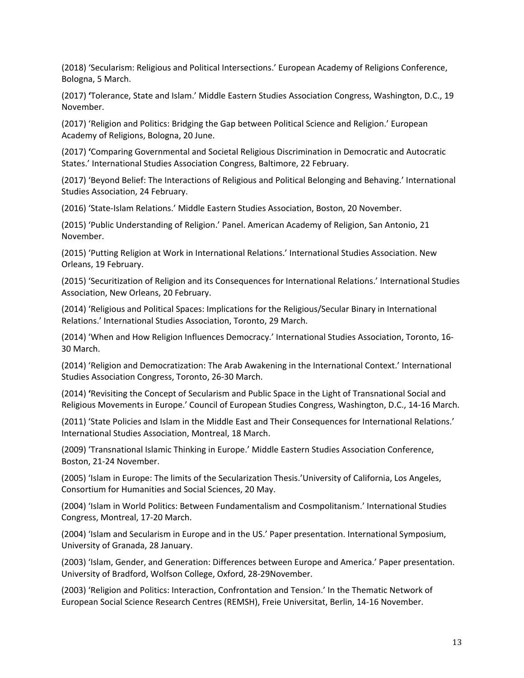(2018) 'Secularism: Religious and Political Intersections.' European Academy of Religions Conference, Bologna, 5 March.

(2017) **'**Tolerance, State and Islam.' Middle Eastern Studies Association Congress, Washington, D.C., 19 November.

(2017) 'Religion and Politics: Bridging the Gap between Political Science and Religion.' European Academy of Religions, Bologna, 20 June.

(2017) **'**Comparing Governmental and Societal Religious Discrimination in Democratic and Autocratic States.' International Studies Association Congress, Baltimore, 22 February.

(2017) 'Beyond Belief: The Interactions of Religious and Political Belonging and Behaving.' International Studies Association, 24 February.

(2016) 'State-Islam Relations.' Middle Eastern Studies Association, Boston, 20 November.

(2015) 'Public Understanding of Religion.' Panel. American Academy of Religion, San Antonio, 21 November.

(2015) 'Putting Religion at Work in International Relations.' International Studies Association. New Orleans, 19 February.

(2015) 'Securitization of Religion and its Consequences for International Relations.' International Studies Association, New Orleans, 20 February.

(2014) 'Religious and Political Spaces: Implications for the Religious/Secular Binary in International Relations.' International Studies Association, Toronto, 29 March.

(2014) 'When and How Religion Influences Democracy.' International Studies Association, Toronto, 16- 30 March.

(2014) 'Religion and Democratization: The Arab Awakening in the International Context.' International Studies Association Congress, Toronto, 26-30 March.

(2014) **'**Revisiting the Concept of Secularism and Public Space in the Light of Transnational Social and Religious Movements in Europe.' Council of European Studies Congress, Washington, D.C., 14-16 March.

(2011) 'State Policies and Islam in the Middle East and Their Consequences for International Relations.' International Studies Association, Montreal, 18 March.

(2009) 'Transnational Islamic Thinking in Europe.' Middle Eastern Studies Association Conference, Boston, 21-24 November.

(2005) 'Islam in Europe: The limits of the Secularization Thesis.'University of California, Los Angeles, Consortium for Humanities and Social Sciences, 20 May.

(2004) 'Islam in World Politics: Between Fundamentalism and Cosmpolitanism.' International Studies Congress, Montreal, 17-20 March.

(2004) 'Islam and Secularism in Europe and in the US.' Paper presentation. International Symposium, University of Granada, 28 January.

(2003) 'Islam, Gender, and Generation: Differences between Europe and America.' Paper presentation. University of Bradford, Wolfson College, Oxford, 28-29November.

(2003) 'Religion and Politics: Interaction, Confrontation and Tension.' In the Thematic Network of European Social Science Research Centres (REMSH), Freie Universitat, Berlin, 14-16 November.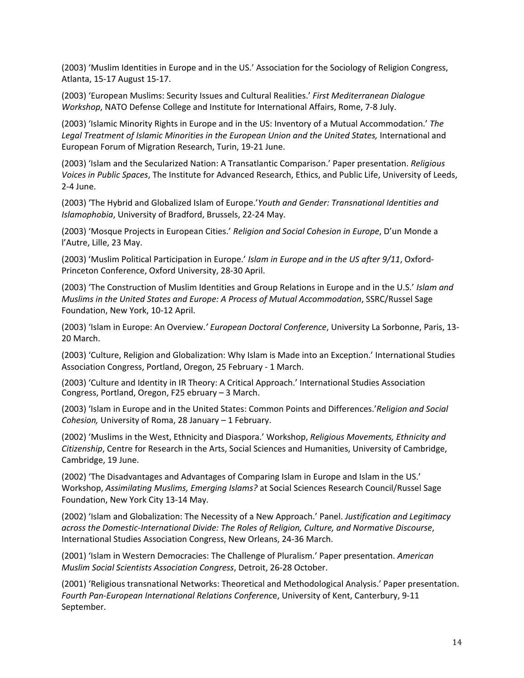(2003) 'Muslim Identities in Europe and in the US.' Association for the Sociology of Religion Congress, Atlanta, 15-17 August 15-17.

(2003) 'European Muslims: Security Issues and Cultural Realities.' *First Mediterranean Dialogue Workshop*, NATO Defense College and Institute for International Affairs, Rome, 7-8 July.

(2003) 'Islamic Minority Rights in Europe and in the US: Inventory of a Mutual Accommodation.' *The*  Legal Treatment of Islamic Minorities in the European Union and the United States, International and European Forum of Migration Research, Turin, 19-21 June.

(2003) 'Islam and the Secularized Nation: A Transatlantic Comparison.' Paper presentation. *Religious Voices in Public Spaces*, The Institute for Advanced Research, Ethics, and Public Life, University of Leeds, 2-4 June.

(2003) 'The Hybrid and Globalized Islam of Europe.'*Youth and Gender: Transnational Identities and Islamophobia*, University of Bradford, Brussels, 22-24 May.

(2003) 'Mosque Projects in European Cities.' *Religion and Social Cohesion in Europe*, D'un Monde a l'Autre, Lille, 23 May.

(2003) 'Muslim Political Participation in Europe.' *Islam in Europe and in the US after 9/11*, Oxford-Princeton Conference, Oxford University, 28-30 April.

(2003) 'The Construction of Muslim Identities and Group Relations in Europe and in the U.S.' *Islam and Muslims in the United States and Europe: A Process of Mutual Accommodation*, SSRC/Russel Sage Foundation, New York, 10-12 April.

(2003) 'Islam in Europe: An Overview.*' European Doctoral Conference*, University La Sorbonne, Paris, 13- 20 March.

(2003) 'Culture, Religion and Globalization: Why Islam is Made into an Exception.' International Studies Association Congress, Portland, Oregon, 25 February - 1 March.

(2003) 'Culture and Identity in IR Theory: A Critical Approach.' International Studies Association Congress, Portland, Oregon, F25 ebruary – 3 March.

(2003) 'Islam in Europe and in the United States: Common Points and Differences.'*Religion and Social Cohesion,* University of Roma, 28 January – 1 February.

(2002) 'Muslims in the West, Ethnicity and Diaspora.' Workshop, *Religious Movements, Ethnicity and Citizenship*, Centre for Research in the Arts, Social Sciences and Humanities, University of Cambridge, Cambridge, 19 June.

(2002) 'The Disadvantages and Advantages of Comparing Islam in Europe and Islam in the US.' Workshop, *Assimilating Muslims, Emerging Islams?* at Social Sciences Research Council/Russel Sage Foundation, New York City 13-14 May.

(2002) 'Islam and Globalization: The Necessity of a New Approach.' Panel. *Justification and Legitimacy across the Domestic-International Divide: The Roles of Religion, Culture, and Normative Discourse*, International Studies Association Congress, New Orleans, 24-36 March.

(2001) 'Islam in Western Democracies: The Challenge of Pluralism.' Paper presentation. *American Muslim Social Scientists Association Congress*, Detroit, 26-28 October.

(2001) 'Religious transnational Networks: Theoretical and Methodological Analysis.' Paper presentation. *Fourth Pan-European International Relations Conferenc*e, University of Kent, Canterbury, 9-11 September.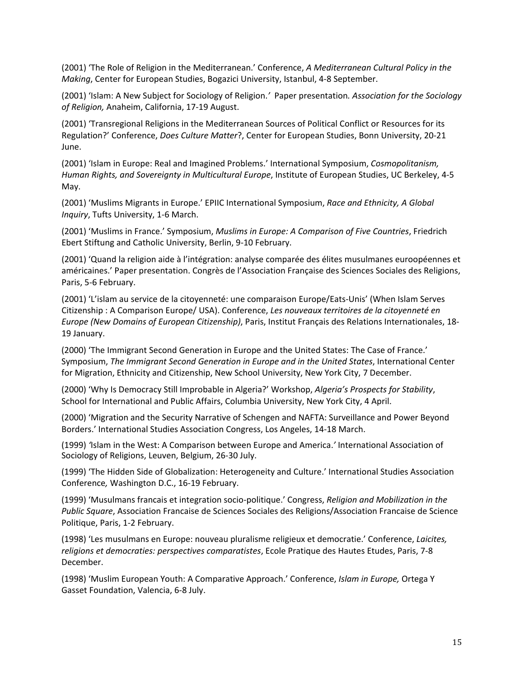(2001) 'The Role of Religion in the Mediterranean.' Conference, *A Mediterranean Cultural Policy in the Making*, Center for European Studies, Bogazici University, Istanbul, 4-8 September.

(2001) 'Islam: A New Subject for Sociology of Religion.*'* Paper presentation*. Association for the Sociology of Religion,* Anaheim, California, 17-19 August.

(2001) 'Transregional Religions in the Mediterranean Sources of Political Conflict or Resources for its Regulation?' Conference, *Does Culture Matter*?, Center for European Studies, Bonn University, 20-21 June.

(2001) 'Islam in Europe: Real and Imagined Problems.' International Symposium, *Cosmopolitanism, Human Rights, and Sovereignty in Multicultural Europe*, Institute of European Studies, UC Berkeley, 4-5 May.

(2001) 'Muslims Migrants in Europe.' EPIIC International Symposium, *Race and Ethnicity, A Global Inquiry*, Tufts University, 1-6 March.

(2001) 'Muslims in France.' Symposium, *Muslims in Europe: A Comparison of Five Countries*, Friedrich Ebert Stiftung and Catholic University, Berlin, 9-10 February.

(2001) 'Quand la religion aide à l'intégration: analyse comparée des élites musulmanes euroopéennes et américaines.' Paper presentation. Congrès de l'Association Française des Sciences Sociales des Religions, Paris, 5-6 February.

(2001) 'L'islam au service de la citoyenneté: une comparaison Europe/Eats-Unis' (When Islam Serves Citizenship : A Comparison Europe/ USA). Conference, *Les nouveaux territoires de la citoyenneté en Europe (New Domains of European Citizenship)*, Paris, Institut Français des Relations Internationales, 18- 19 January.

(2000) 'The Immigrant Second Generation in Europe and the United States: The Case of France.' Symposium, *The Immigrant Second Generation in Europe and in the United States*, International Center for Migration, Ethnicity and Citizenship, New School University, New York City, 7 December.

(2000) 'Why Is Democracy Still Improbable in Algeria?' Workshop, *Algeria's Prospects for Stability*, School for International and Public Affairs, Columbia University, New York City, 4 April.

(2000) 'Migration and the Security Narrative of Schengen and NAFTA: Surveillance and Power Beyond Borders.' International Studies Association Congress, Los Angeles, 14-18 March.

(1999) *'*Islam in the West: A Comparison between Europe and America.*'* International Association of Sociology of Religions, Leuven, Belgium, 26-30 July.

(1999) 'The Hidden Side of Globalization: Heterogeneity and Culture.' International Studies Association Conference*,* Washington D.C., 16-19 February.

(1999) 'Musulmans francais et integration socio-politique.' Congress, *Religion and Mobilization in the Public Square*, Association Francaise de Sciences Sociales des Religions/Association Francaise de Science Politique, Paris, 1-2 February.

(1998) 'Les musulmans en Europe: nouveau pluralisme religieux et democratie.' Conference, *Laicites, religions et democraties: perspectives comparatistes*, Ecole Pratique des Hautes Etudes, Paris, 7-8 December.

(1998) 'Muslim European Youth: A Comparative Approach.' Conference, *Islam in Europe,* Ortega Y Gasset Foundation, Valencia, 6-8 July.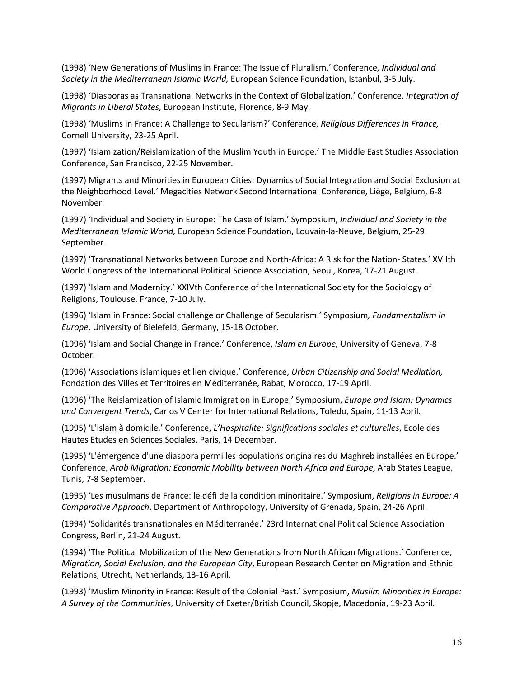(1998) 'New Generations of Muslims in France: The Issue of Pluralism.' Conference, *Individual and Society in the Mediterranean Islamic World,* European Science Foundation, Istanbul, 3-5 July.

(1998) 'Diasporas as Transnational Networks in the Context of Globalization.' Conference, *Integration of Migrants in Liberal States*, European Institute, Florence, 8-9 May.

(1998) 'Muslims in France: A Challenge to Secularism?' Conference, *Religious Differences in France,*  Cornell University, 23-25 April.

(1997) 'Islamization/Reislamization of the Muslim Youth in Europe.' The Middle East Studies Association Conference, San Francisco, 22-25 November.

(1997) Migrants and Minorities in European Cities: Dynamics of Social Integration and Social Exclusion at the Neighborhood Level.' Megacities Network Second International Conference, Liège, Belgium, 6-8 November.

(1997) 'Individual and Society in Europe: The Case of Islam.' Symposium, *Individual and Society in the Mediterranean Islamic World,* European Science Foundation, Louvain-la-Neuve, Belgium, 25-29 September.

(1997) 'Transnational Networks between Europe and North-Africa: A Risk for the Nation- States.' XVIIth World Congress of the International Political Science Association, Seoul, Korea, 17-21 August.

(1997) 'Islam and Modernity.' XXIVth Conference of the International Society for the Sociology of Religions, Toulouse, France, 7-10 July.

(1996) 'Islam in France: Social challenge or Challenge of Secularism.' Symposium*, Fundamentalism in Europe*, University of Bielefeld, Germany, 15-18 October.

(1996) 'Islam and Social Change in France.' Conference, *Islam en Europe,* University of Geneva, 7-8 October.

(1996) 'Associations islamiques et lien civique.' Conference, *Urban Citizenship and Social Mediation,*  Fondation des Villes et Territoires en Méditerranée, Rabat, Morocco, 17-19 April.

(1996) 'The Reislamization of Islamic Immigration in Europe.' Symposium, *Europe and Islam: Dynamics and Convergent Trends*, Carlos V Center for International Relations, Toledo, Spain, 11-13 April.

(1995) 'L'islam à domicile.' Conference, *L'Hospitalite: Significations sociales et culturelles*, Ecole des Hautes Etudes en Sciences Sociales, Paris, 14 December.

(1995) 'L'émergence d'une diaspora permi les populations originaires du Maghreb installées en Europe.' Conference, *Arab Migration: Economic Mobility between North Africa and Europe*, Arab States League, Tunis, 7-8 September.

(1995) 'Les musulmans de France: le défi de la condition minoritaire.' Symposium, *Religions in Europe: A Comparative Approach*, Department of Anthropology, University of Grenada, Spain, 24-26 April.

(1994) 'Solidarités transnationales en Méditerranée.' 23rd International Political Science Association Congress, Berlin, 21-24 August.

(1994) 'The Political Mobilization of the New Generations from North African Migrations.' Conference, *Migration, Social Exclusion, and the European City*, European Research Center on Migration and Ethnic Relations, Utrecht, Netherlands, 13-16 April.

(1993) 'Muslim Minority in France: Result of the Colonial Past.' Symposium, *Muslim Minorities in Europe: A Survey of the Communitie*s, University of Exeter/British Council, Skopje, Macedonia, 19-23 April.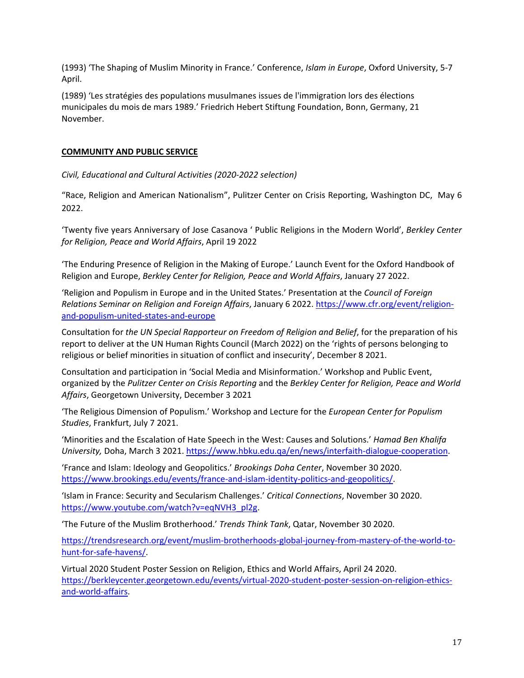(1993) 'The Shaping of Muslim Minority in France.' Conference, *Islam in Europe*, Oxford University, 5-7 April.

(1989) 'Les stratégies des populations musulmanes issues de l'immigration lors des élections municipales du mois de mars 1989.' Friedrich Hebert Stiftung Foundation, Bonn, Germany, 21 November.

## **COMMUNITY AND PUBLIC SERVICE**

*Civil, Educational and Cultural Activities (2020-2022 selection)*

"Race, Religion and American Nationalism", Pulitzer Center on Crisis Reporting, Washington DC, May 6 2022.

'Twenty five years Anniversary of Jose Casanova ' Public Religions in the Modern World', *Berkley Center for Religion, Peace and World Affairs*, April 19 2022

'The Enduring Presence of Religion in the Making of Europe.' Launch Event for the Oxford Handbook of Religion and Europe, *Berkley Center for Religion, Peace and World Affairs*, January 27 2022.

'Religion and Populism in Europe and in the United States.' Presentation at the *Council of Foreign Relations Seminar on Religion and Foreign Affairs*, January 6 2022. [https://www.cfr.org/event/religion](https://www.cfr.org/event/religion-and-populism-united-states-and-europe)[and-populism-united-states-and-europe](https://www.cfr.org/event/religion-and-populism-united-states-and-europe)

Consultation for *the UN Special Rapporteur on Freedom of Religion and Belief*, for the preparation of his report to deliver at the UN Human Rights Council (March 2022) on the 'rights of persons belonging to religious or belief minorities in situation of conflict and insecurity', December 8 2021.

Consultation and participation in 'Social Media and Misinformation.' Workshop and Public Event, organized by the *Pulitzer Center on Crisis Reporting* and the *Berkley Center for Religion, Peace and World Affairs*, Georgetown University, December 3 2021

'The Religious Dimension of Populism.' Workshop and Lecture for the *European Center for Populism Studies*, Frankfurt, July 7 2021.

'Minorities and the Escalation of Hate Speech in the West: Causes and Solutions.' *Hamad Ben Khalifa University,* Doha, March 3 2021. [https://www.hbku.edu.qa/en/news/interfaith-dialogue-cooperation.](https://www.hbku.edu.qa/en/news/interfaith-dialogue-cooperation)

'France and Islam: Ideology and Geopolitics.' *Brookings Doha Center*, November 30 2020. [https://www.brookings.edu/events/france-and-islam-identity-politics-and-geopolitics/.](https://www.brookings.edu/events/france-and-islam-identity-politics-and-geopolitics/)

'Islam in France: Security and Secularism Challenges.' *Critical Connections*, November 30 2020. [https://www.youtube.com/watch?v=eqNVH3\\_pl2g.](https://www.youtube.com/watch?v=eqNVH3_pl2g)

'The Future of the Muslim Brotherhood.' *Trends Think Tank*, Qatar, November 30 2020.

[https://trendsresearch.org/event/muslim-brotherhoods-global-journey-from-mastery-of-the-world-to](https://trendsresearch.org/event/muslim-brotherhoods-global-journey-from-mastery-of-the-world-to-hunt-for-safe-havens/)[hunt-for-safe-havens/.](https://trendsresearch.org/event/muslim-brotherhoods-global-journey-from-mastery-of-the-world-to-hunt-for-safe-havens/)

Virtual 2020 Student Poster Session on Religion, Ethics and World Affairs, April 24 2020. [https://berkleycenter.georgetown.edu/events/virtual-2020-student-poster-session-on-religion-ethics](https://berkleycenter.georgetown.edu/events/virtual-2020-student-poster-session-on-religion-ethics-and-world-affairs)[and-world-affairs.](https://berkleycenter.georgetown.edu/events/virtual-2020-student-poster-session-on-religion-ethics-and-world-affairs)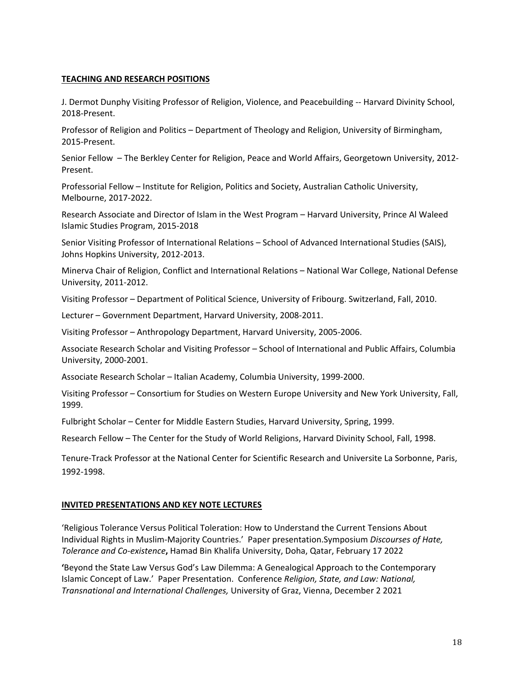## **TEACHING AND RESEARCH POSITIONS**

J. Dermot Dunphy Visiting Professor of Religion, Violence, and Peacebuilding -- Harvard Divinity School, 2018-Present.

Professor of Religion and Politics – Department of Theology and Religion, University of Birmingham, 2015-Present.

Senior Fellow – The Berkley Center for Religion, Peace and World Affairs, Georgetown University, 2012- Present.

Professorial Fellow – Institute for Religion, Politics and Society, Australian Catholic University, Melbourne, 2017-2022.

Research Associate and Director of Islam in the West Program – Harvard University, Prince Al Waleed Islamic Studies Program, 2015-2018

Senior Visiting Professor of International Relations – School of Advanced International Studies (SAIS), Johns Hopkins University, 2012-2013.

Minerva Chair of Religion, Conflict and International Relations – National War College, National Defense University, 2011-2012.

Visiting Professor – Department of Political Science, University of Fribourg. Switzerland, Fall, 2010.

Lecturer – Government Department, Harvard University, 2008-2011.

Visiting Professor – Anthropology Department, Harvard University, 2005-2006.

Associate Research Scholar and Visiting Professor – School of International and Public Affairs, Columbia University, 2000-2001.

Associate Research Scholar – Italian Academy, Columbia University, 1999-2000.

Visiting Professor – Consortium for Studies on Western Europe University and New York University, Fall, 1999.

Fulbright Scholar – Center for Middle Eastern Studies, Harvard University, Spring, 1999.

Research Fellow – The Center for the Study of World Religions, Harvard Divinity School, Fall, 1998.

Tenure-Track Professor at the National Center for Scientific Research and Universite La Sorbonne, Paris, 1992-1998.

#### **INVITED PRESENTATIONS AND KEY NOTE LECTURES**

'Religious Tolerance Versus Political Toleration: How to Understand the Current Tensions About Individual Rights in Muslim-Majority Countries.' Paper presentation.Symposium *Discourses of Hate, Tolerance and Co-existence***,** Hamad Bin Khalifa University, Doha, Qatar, February 17 2022

**'**Beyond the State Law Versus God's Law Dilemma: A Genealogical Approach to the Contemporary Islamic Concept of Law.' Paper Presentation. Conference *Religion, State, and Law: National, Transnational and International Challenges,* University of Graz, Vienna, December 2 2021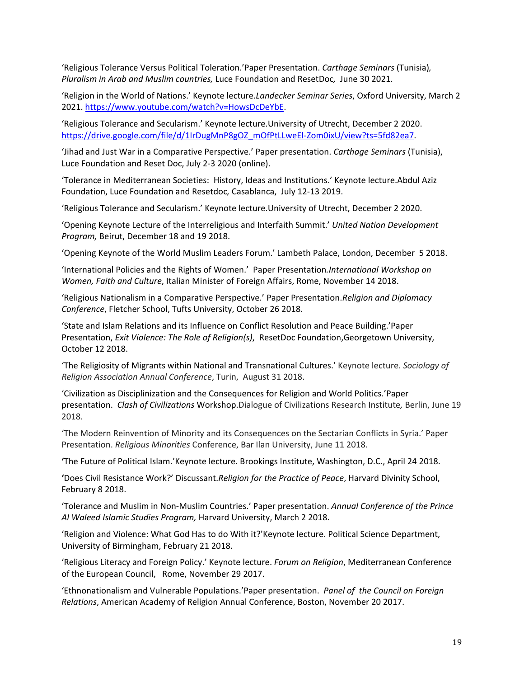'Religious Tolerance Versus Political Toleration.'Paper Presentation. *Carthage Seminars* (Tunisia)*, Pluralism in Arab and Muslim countries,* Luce Foundation and ResetDoc*,* June 30 2021.

'Religion in the World of Nations.' Keynote lecture.*Landecker Seminar Series*, Oxford University, March 2 2021[. https://www.youtube.com/watch?v=HowsDcDeYbE.](https://www.youtube.com/watch?v=HowsDcDeYbE)

'Religious Tolerance and Secularism.' Keynote lecture.University of Utrecht, December 2 2020. [https://drive.google.com/file/d/1IrDugMnP8gOZ\\_mOfPtLLweEl-Zom0ixU/view?ts=5fd82ea7.](https://drive.google.com/file/d/1IrDugMnP8gOZ_mOfPtLLweEl-Zom0ixU/view?ts=5fd82ea7)

'Jihad and Just War in a Comparative Perspective.' Paper presentation. *Carthage Seminars* (Tunisia), Luce Foundation and Reset Doc, July 2-3 2020 (online).

'Tolerance in Mediterranean Societies: History, Ideas and Institutions.' Keynote lecture.Abdul Aziz Foundation, Luce Foundation and Resetdoc*,* Casablanca, July 12-13 2019.

'Religious Tolerance and Secularism.' Keynote lecture.University of Utrecht, December 2 2020.

'Opening Keynote Lecture of the Interreligious and Interfaith Summit.' *United Nation Development Program,* Beirut, December 18 and 19 2018.

'Opening Keynote of the World Muslim Leaders Forum.' Lambeth Palace, London, December 5 2018.

'International Policies and the Rights of Women.' Paper Presentation*.International Workshop on Women, Faith and Culture*, Italian Minister of Foreign Affairs, Rome, November 14 2018.

'Religious Nationalism in a Comparative Perspective.' Paper Presentation.*Religion and Diplomacy Conference*, Fletcher School, Tufts University, October 26 2018.

'State and Islam Relations and its Influence on Conflict Resolution and Peace Building.'Paper Presentation, *Exit Violence: The Role of Religion(s)*, ResetDoc Foundation,Georgetown University, October 12 2018.

'The Religiosity of Migrants within National and Transnational Cultures.' Keynote lecture. *Sociology of Religion Association Annual Conference*, Turin, August 31 2018.

'Civilization as Disciplinization and the Consequences for Religion and World Politics.'Paper presentation. *Clash of Civilizations* Workshop.Dialogue of Civilizations Research Institute*,* Berlin, June 19 2018.

'The Modern Reinvention of Minority and its Consequences on the Sectarian Conflicts in Syria.' Paper Presentation. *Religious Minorities* Conference, Bar Ilan University, June 11 2018.

**'**The Future of Political Islam.'Keynote lecture. Brookings Institute, Washington, D.C., April 24 2018.

**'**Does Civil Resistance Work?' Discussant.*Religion for the Practice of Peace*, Harvard Divinity School, February 8 2018.

'Tolerance and Muslim in Non-Muslim Countries.' Paper presentation. *Annual Conference of the Prince Al Waleed Islamic Studies Program,* Harvard University, March 2 2018.

'Religion and Violence: What God Has to do With it?'Keynote lecture. Political Science Department, University of Birmingham, February 21 2018.

'Religious Literacy and Foreign Policy.' Keynote lecture. *Forum on Religion*, Mediterranean Conference of the European Council, Rome, November 29 2017.

'Ethnonationalism and Vulnerable Populations.'Paper presentation. *Panel of the Council on Foreign Relations*, American Academy of Religion Annual Conference, Boston, November 20 2017.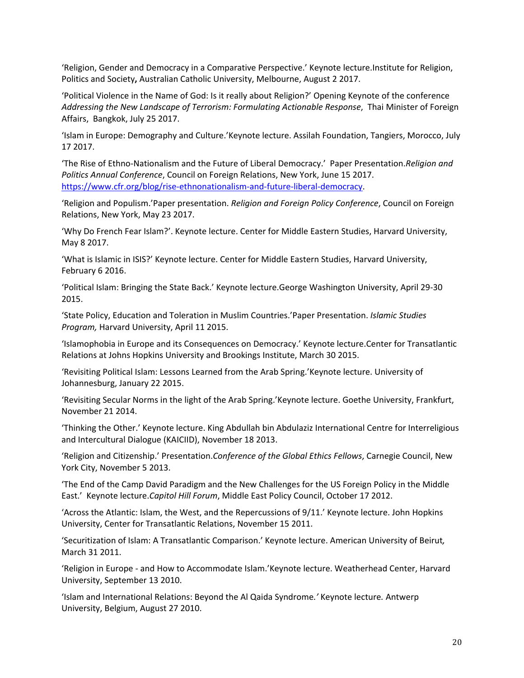'Religion, Gender and Democracy in a Comparative Perspective.' Keynote lecture.Institute for Religion, Politics and Society**,** Australian Catholic University, Melbourne, August 2 2017.

'Political Violence in the Name of God: Is it really about Religion?' Opening Keynote of the conference *Addressing the New Landscape of Terrorism: Formulating Actionable Response*, Thai Minister of Foreign Affairs, Bangkok, July 25 2017.

'Islam in Europe: Demography and Culture.'Keynote lecture. Assilah Foundation, Tangiers, Morocco, July 17 2017.

'The Rise of Ethno-Nationalism and the Future of Liberal Democracy.' Paper Presentation.*Religion and Politics Annual Conference*, Council on Foreign Relations, New York, June 15 2017. [https://www.cfr.org/blog/rise-ethnonationalism-and-future-liberal-democracy.](https://www.cfr.org/blog/rise-ethnonationalism-and-future-liberal-democracy)

'Religion and Populism.'Paper presentation. *Religion and Foreign Policy Conference*, Council on Foreign Relations, New York, May 23 2017.

'Why Do French Fear Islam?'. Keynote lecture. Center for Middle Eastern Studies, Harvard University, May 8 2017.

'What is Islamic in ISIS?' Keynote lecture. Center for Middle Eastern Studies, Harvard University, February 6 2016.

'Political Islam: Bringing the State Back.' Keynote lecture.George Washington University, April 29-30 2015.

'State Policy, Education and Toleration in Muslim Countries.'Paper Presentation. *Islamic Studies Program,* Harvard University, April 11 2015.

'Islamophobia in Europe and its Consequences on Democracy.' Keynote lecture.Center for Transatlantic Relations at Johns Hopkins University and Brookings Institute, March 30 2015.

'Revisiting Political Islam: Lessons Learned from the Arab Spring.'Keynote lecture. University of Johannesburg, January 22 2015.

'Revisiting Secular Norms in the light of the Arab Spring.'Keynote lecture. Goethe University, Frankfurt, November 21 2014.

'Thinking the Other.' Keynote lecture. King Abdullah bin Abdulaziz International Centre for Interreligious and Intercultural Dialogue (KAICIID), November 18 2013.

'Religion and Citizenship.' Presentation.*Conference of the Global Ethics Fellows*, Carnegie Council, New York City, November 5 2013.

'The End of the Camp David Paradigm and the New Challenges for the US Foreign Policy in the Middle East.' Keynote lecture.*Capitol Hill Forum*, Middle East Policy Council, October 17 2012.

'Across the Atlantic: Islam, the West, and the Repercussions of 9/11.' Keynote lecture. John Hopkins University, Center for Transatlantic Relations, November 15 2011.

'Securitization of Islam: A Transatlantic Comparison.' Keynote lecture. American University of Beirut*,* March 31 2011.

'Religion in Europe - and How to Accommodate Islam.'Keynote lecture. Weatherhead Center, Harvard University, September 13 2010.

'Islam and International Relations: Beyond the Al Qaida Syndrome*.'* Keynote lecture*.* Antwerp University, Belgium, August 27 2010.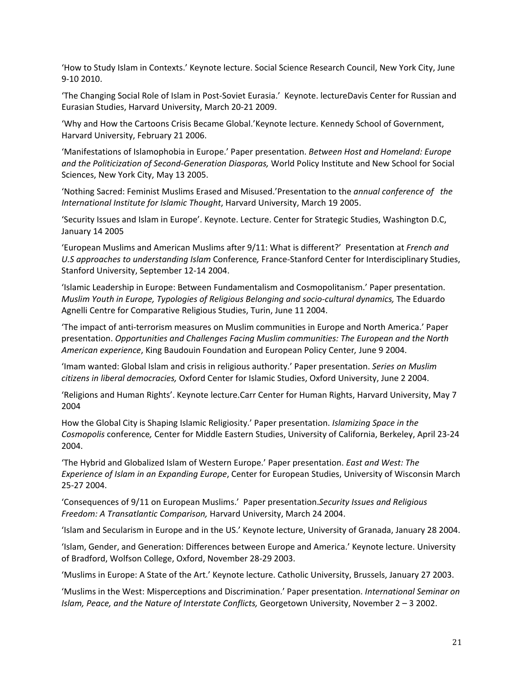'How to Study Islam in Contexts.' Keynote lecture. Social Science Research Council, New York City, June 9-10 2010.

'The Changing Social Role of Islam in Post-Soviet Eurasia.' Keynote. lectureDavis Center for Russian and Eurasian Studies, Harvard University, March 20-21 2009.

'Why and How the Cartoons Crisis Became Global.'Keynote lecture. Kennedy School of Government, Harvard University, February 21 2006.

'Manifestations of Islamophobia in Europe.' Paper presentation. *Between Host and Homeland: Europe and the Politicization of Second-Generation Diasporas,* World Policy Institute and New School for Social Sciences, New York City, May 13 2005.

'Nothing Sacred: Feminist Muslims Erased and Misused.'Presentation to the *annual conference of the International Institute for Islamic Thought*, Harvard University, March 19 2005.

'Security Issues and Islam in Europe'. Keynote. Lecture. Center for Strategic Studies, Washington D.C, January 14 2005

'European Muslims and American Muslims after 9/11: What is different?' Presentation at *French and U.S approaches to understanding Islam* Conference*,* France-Stanford Center for Interdisciplinary Studies, Stanford University, September 12-14 2004.

'Islamic Leadership in Europe: Between Fundamentalism and Cosmopolitanism.' Paper presentation. *Muslim Youth in Europe, Typologies of Religious Belonging and socio-cultural dynamics,* The Eduardo Agnelli Centre for Comparative Religious Studies, Turin, June 11 2004.

'The impact of anti-terrorism measures on Muslim communities in Europe and North America.' Paper presentation. *Opportunities and Challenges Facing Muslim communities: The European and the North American experience*, King Baudouin Foundation and European Policy Center*,* June 9 2004.

'Imam wanted: Global Islam and crisis in religious authority.' Paper presentation. *Series on Muslim citizens in liberal democracies,* Oxford Center for Islamic Studies, Oxford University, June 2 2004.

'Religions and Human Rights'. Keynote lecture.Carr Center for Human Rights, Harvard University, May 7 2004

How the Global City is Shaping Islamic Religiosity.' Paper presentation. *Islamizing Space in the Cosmopolis* conference*,* Center for Middle Eastern Studies, University of California, Berkeley, April 23-24 2004.

'The Hybrid and Globalized Islam of Western Europe.' Paper presentation. *East and West: The Experience of Islam in an Expanding Europe*, Center for European Studies, University of Wisconsin March 25-27 2004.

'Consequences of 9/11 on European Muslims.' Paper presentation.*Security Issues and Religious Freedom: A Transatlantic Comparison,* Harvard University, March 24 2004.

'Islam and Secularism in Europe and in the US.' Keynote lecture, University of Granada, January 28 2004.

'Islam, Gender, and Generation: Differences between Europe and America.' Keynote lecture. University of Bradford, Wolfson College, Oxford, November 28-29 2003.

'Muslims in Europe: A State of the Art.' Keynote lecture. Catholic University, Brussels, January 27 2003.

'Muslims in the West: Misperceptions and Discrimination.' Paper presentation. *International Seminar on Islam, Peace, and the Nature of Interstate Conflicts,* Georgetown University, November 2 – 3 2002.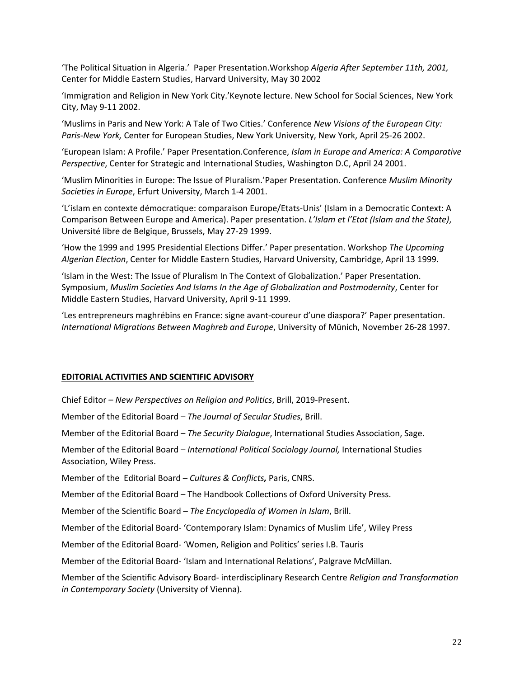'The Political Situation in Algeria.' Paper Presentation.Workshop *Algeria After September 11th, 2001,*  Center for Middle Eastern Studies, Harvard University, May 30 2002

'Immigration and Religion in New York City.'Keynote lecture. New School for Social Sciences, New York City, May 9-11 2002.

'Muslims in Paris and New York: A Tale of Two Cities.' Conference *New Visions of the European City: Paris-New York,* Center for European Studies, New York University, New York, April 25-26 2002.

'European Islam: A Profile.' Paper Presentation.Conference, *Islam in Europe and America: A Comparative Perspective*, Center for Strategic and International Studies, Washington D.C, April 24 2001.

'Muslim Minorities in Europe: The Issue of Pluralism.'Paper Presentation. Conference *Muslim Minority Societies in Europe*, Erfurt University, March 1-4 2001.

'L'islam en contexte démocratique: comparaison Europe/Etats-Unis' (Islam in a Democratic Context: A Comparison Between Europe and America). Paper presentation. *L'Islam et l'Etat (Islam and the State)*, Université libre de Belgique, Brussels, May 27-29 1999.

'How the 1999 and 1995 Presidential Elections Differ.' Paper presentation. Workshop *The Upcoming Algerian Election*, Center for Middle Eastern Studies, Harvard University, Cambridge, April 13 1999.

'Islam in the West: The Issue of Pluralism In The Context of Globalization.' Paper Presentation. Symposium, *Muslim Societies And Islams In the Age of Globalization and Postmodernity*, Center for Middle Eastern Studies, Harvard University, April 9-11 1999.

'Les entrepreneurs maghrébins en France: signe avant-coureur d'une diaspora?' Paper presentation. *International Migrations Between Maghreb and Europe*, University of Münich, November 26-28 1997.

#### **EDITORIAL ACTIVITIES AND SCIENTIFIC ADVISORY**

Chief Editor – *New Perspectives on Religion and Politics*, Brill, 2019-Present.

Member of the Editorial Board – *The Journal of Secular Studies*, Brill.

Member of the Editorial Board – *The Security Dialogue*, International Studies Association, Sage.

Member of the Editorial Board – *International Political Sociology Journal,* International Studies Association, Wiley Press.

Member of the Editorial Board – *Cultures & Conflicts,* Paris, CNRS.

Member of the Editorial Board – The Handbook Collections of Oxford University Press.

Member of the Scientific Board – *The Encyclopedia of Women in Islam*, Brill.

Member of the Editorial Board- 'Contemporary Islam: Dynamics of Muslim Life', Wiley Press

Member of the Editorial Board- 'Women, Religion and Politics' series I.B. Tauris

Member of the Editorial Board- 'Islam and International Relations', Palgrave McMillan.

Member of the Scientific Advisory Board- interdisciplinary Research Centre *Religion and Transformation in Contemporary Society* (University of Vienna).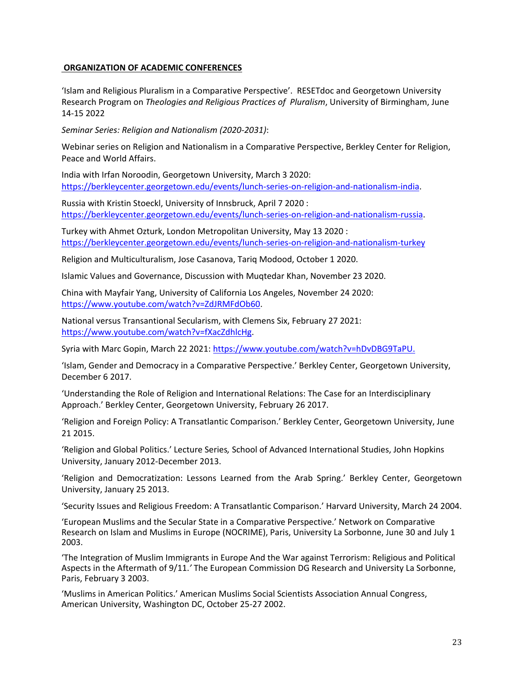## **ORGANIZATION OF ACADEMIC CONFERENCES**

'Islam and Religious Pluralism in a Comparative Perspective'. RESETdoc and Georgetown University Research Program on *Theologies and Religious Practices of Pluralism*, University of Birmingham, June 14-15 2022

*Seminar Series: Religion and Nationalism (2020-2031)*:

Webinar series on Religion and Nationalism in a Comparative Perspective, Berkley Center for Religion, Peace and World Affairs.

India with Irfan Noroodin, Georgetown University, March 3 2020: [https://berkleycenter.georgetown.edu/events/lunch-series-on-religion-and-nationalism-india.](https://berkleycenter.georgetown.edu/events/lunch-series-on-religion-and-nationalism-india) 

Russia with Kristin Stoeckl, University of Innsbruck, April 7 2020 : [https://berkleycenter.georgetown.edu/events/lunch-series-on-religion-and-nationalism-russia.](https://berkleycenter.georgetown.edu/events/lunch-series-on-religion-and-nationalism-russia)

Turkey with Ahmet Ozturk, London Metropolitan University, May 13 2020 : <https://berkleycenter.georgetown.edu/events/lunch-series-on-religion-and-nationalism-turkey>

Religion and Multiculturalism, Jose Casanova, Tariq Modood, October 1 2020.

Islamic Values and Governance, Discussion with Muqtedar Khan, November 23 2020.

China with Mayfair Yang, University of California Los Angeles, November 24 2020: [https://www.youtube.com/watch?v=ZdJRMFdOb60.](https://www.youtube.com/watch?v=ZdJRMFdOb60)

National versus Transantional Secularism, with Clemens Six, February 27 2021: [https://www.youtube.com/watch?v=fXacZdhlcHg.](https://www.youtube.com/watch?v=fXacZdhlcHg) 

Syria with Marc Gopin, March 22 2021: [https://www.youtube.com/watch?v=hDvDBG9TaPU.](https://www.youtube.com/watch?v=hDvDBG9TaPU)

'Islam, Gender and Democracy in a Comparative Perspective.' Berkley Center, Georgetown University, December 6 2017.

'Understanding the Role of Religion and International Relations: The Case for an Interdisciplinary Approach.' Berkley Center, Georgetown University, February 26 2017.

'Religion and Foreign Policy: A Transatlantic Comparison.' Berkley Center, Georgetown University, June 21 2015.

'Religion and Global Politics.' Lecture Series*,* School of Advanced International Studies, John Hopkins University, January 2012-December 2013.

'Religion and Democratization: Lessons Learned from the Arab Spring.' Berkley Center, Georgetown University, January 25 2013.

'Security Issues and Religious Freedom: A Transatlantic Comparison.' Harvard University, March 24 2004.

'European Muslims and the Secular State in a Comparative Perspective.' Network on Comparative Research on Islam and Muslims in Europe (NOCRIME), Paris, University La Sorbonne, June 30 and July 1 2003.

'The Integration of Muslim Immigrants in Europe And the War against Terrorism: Religious and Political Aspects in the Aftermath of 9/11.*'* The European Commission DG Research and University La Sorbonne, Paris, February 3 2003.

'Muslims in American Politics.' American Muslims Social Scientists Association Annual Congress, American University, Washington DC, October 25-27 2002.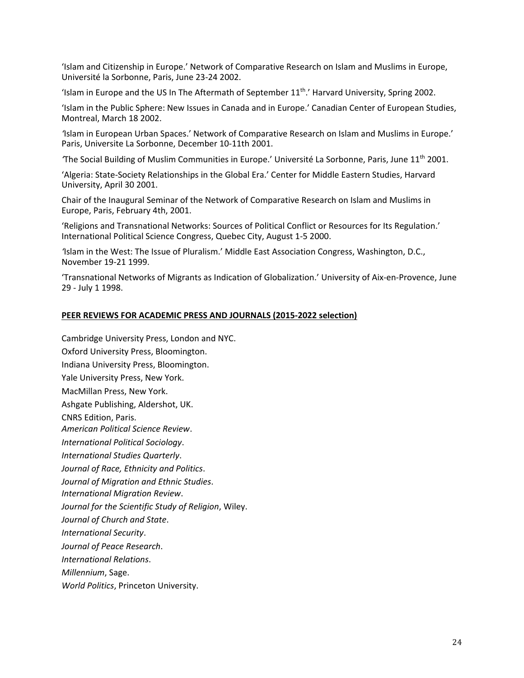'Islam and Citizenship in Europe.' Network of Comparative Research on Islam and Muslims in Europe, Université la Sorbonne, Paris, June 23-24 2002.

'Islam in Europe and the US In The Aftermath of September  $11<sup>th</sup>$ .' Harvard University, Spring 2002.

'Islam in the Public Sphere: New Issues in Canada and in Europe.' Canadian Center of European Studies, Montreal, March 18 2002.

*'*Islam in European Urban Spaces.' Network of Comparative Research on Islam and Muslims in Europe.' Paris, Universite La Sorbonne, December 10-11th 2001.

*'*The Social Building of Muslim Communities in Europe.' Université La Sorbonne, Paris, June 11th 2001.

'Algeria: State-Society Relationships in the Global Era.' Center for Middle Eastern Studies, Harvard University, April 30 2001.

Chair of the Inaugural Seminar of the Network of Comparative Research on Islam and Muslims in Europe, Paris, February 4th, 2001.

'Religions and Transnational Networks: Sources of Political Conflict or Resources for Its Regulation.' International Political Science Congress, Quebec City, August 1-5 2000.

*'*Islam in the West: The Issue of Pluralism.' Middle East Association Congress, Washington, D.C., November 19-21 1999.

'Transnational Networks of Migrants as Indication of Globalization.' University of Aix-en-Provence, June 29 - July 1 1998.

### **PEER REVIEWS FOR ACADEMIC PRESS AND JOURNALS (2015-2022 selection)**

Cambridge University Press, London and NYC. Oxford University Press, Bloomington. Indiana University Press, Bloomington. Yale University Press, New York. MacMillan Press, New York. Ashgate Publishing, Aldershot, UK. CNRS Edition, Paris. *American Political Science Review*. *International Political Sociology*. *International Studies Quarterly*. *Journal of Race, Ethnicity and Politics*. *Journal of Migration and Ethnic Studies*. *International Migration Review*. *Journal for the Scientific Study of Religion*, Wiley. *Journal of Church and State*. *International Security*. *Journal of Peace Research*. *International Relations*. *Millennium*, Sage. *World Politics*, Princeton University.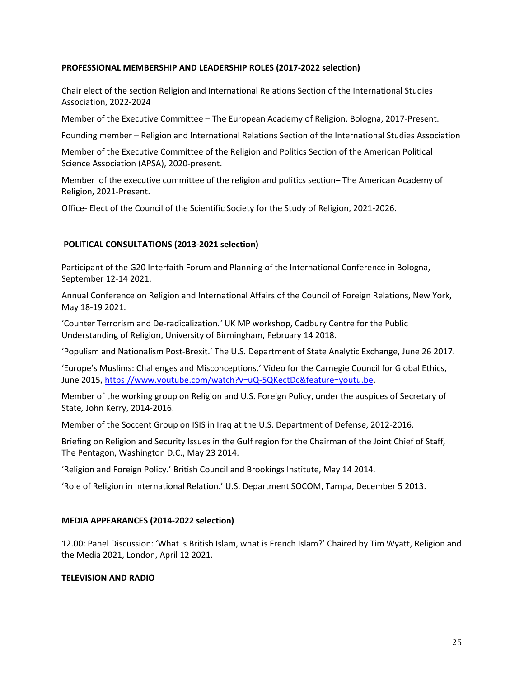### **PROFESSIONAL MEMBERSHIP AND LEADERSHIP ROLES (2017-2022 selection)**

Chair elect of the section Religion and International Relations Section of the International Studies Association, 2022-2024

Member of the Executive Committee – The European Academy of Religion, Bologna, 2017-Present.

Founding member – Religion and International Relations Section of the International Studies Association

Member of the Executive Committee of the Religion and Politics Section of the American Political Science Association (APSA), 2020-present.

Member of the executive committee of the religion and politics section– The American Academy of Religion, 2021-Present.

Office- Elect of the Council of the Scientific Society for the Study of Religion, 2021-2026.

## **POLITICAL CONSULTATIONS (2013-2021 selection)**

Participant of the G20 Interfaith Forum and Planning of the International Conference in Bologna, September 12-14 2021.

Annual Conference on Religion and International Affairs of the Council of Foreign Relations, New York, May 18-19 2021.

'Counter Terrorism and De-radicalization*.'* UK MP workshop, Cadbury Centre for the Public Understanding of Religion, University of Birmingham, February 14 2018.

'Populism and Nationalism Post-Brexit.' The U.S. Department of State Analytic Exchange, June 26 2017.

'Europe's Muslims: Challenges and Misconceptions.' Video for the Carnegie Council for Global Ethics, June 2015[, https://www.youtube.com/watch?v=uQ-5QKectDc&feature=youtu.be.](https://www.youtube.com/watch?v=uQ-5QKectDc&feature=youtu.be)

Member of the working group on Religion and U.S. Foreign Policy, under the auspices of Secretary of State*,* John Kerry, 2014-2016.

Member of the Soccent Group on ISIS in Iraq at the U.S. Department of Defense, 2012-2016.

Briefing on Religion and Security Issues in the Gulf region for the Chairman of the Joint Chief of Staff*,* The Pentagon, Washington D.C., May 23 2014.

'Religion and Foreign Policy.' British Council and Brookings Institute, May 14 2014.

'Role of Religion in International Relation.' U.S. Department SOCOM, Tampa, December 5 2013.

## **MEDIA APPEARANCES (2014-2022 selection)**

12.00: Panel Discussion: 'What is British Islam, what is French Islam?' Chaired by Tim Wyatt, Religion and the Media 2021, London, April 12 2021.

#### **TELEVISION AND RADIO**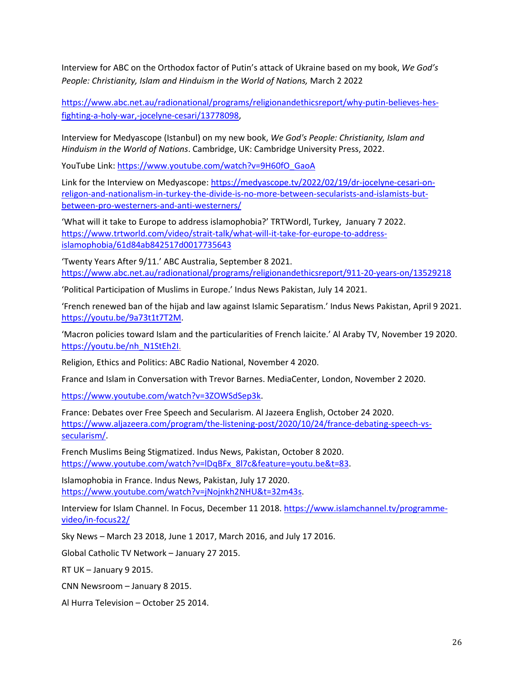Interview for ABC on the Orthodox factor of Putin's attack of Ukraine based on my book, *We God's People: Christianity, Islam and Hinduism in the World of Nations,* March 2 2022

[https://www.abc.net.au/radionational/programs/religionandethicsreport/why-putin-believes-hes](https://www.abc.net.au/radionational/programs/religionandethicsreport/why-putin-believes-hes-fighting-a-holy-war,-jocelyne-cesari/13778098)[fighting-a-holy-war,-jocelyne-cesari/13778098,](https://www.abc.net.au/radionational/programs/religionandethicsreport/why-putin-believes-hes-fighting-a-holy-war,-jocelyne-cesari/13778098)

Interview for Medyascope (Istanbul) on my new book, *We God's People: Christianity, Islam and Hinduism in the World of Nations*. Cambridge, UK: Cambridge University Press, 2022.

YouTube Link: [https://www.youtube.com/watch?v=9H60fO\\_GaoA](https://www.youtube.com/watch?v=9H60fO_GaoA)

Link for the Interview on Medyascope[: https://medyascope.tv/2022/02/19/dr-jocelyne-cesari-on](https://medyascope.tv/2022/02/19/dr-jocelyne-cesari-on-religon-and-nationalism-in-turkey-the-divide-is-no-more-between-secularists-and-islamists-but-between-pro-westerners-and-anti-westerners/)[religon-and-nationalism-in-turkey-the-divide-is-no-more-between-secularists-and-islamists-but](https://medyascope.tv/2022/02/19/dr-jocelyne-cesari-on-religon-and-nationalism-in-turkey-the-divide-is-no-more-between-secularists-and-islamists-but-between-pro-westerners-and-anti-westerners/)[between-pro-westerners-and-anti-westerners/](https://medyascope.tv/2022/02/19/dr-jocelyne-cesari-on-religon-and-nationalism-in-turkey-the-divide-is-no-more-between-secularists-and-islamists-but-between-pro-westerners-and-anti-westerners/)

'What will it take to Europe to address islamophobia?' TRTWordl, Turkey, January 7 2022. [https://www.trtworld.com/video/strait-talk/what-will-it-take-for-europe-to-address](https://urldefense.proofpoint.com/v2/url?u=https-3A__www.trtworld.com_video_strait-2Dtalk_what-2Dwill-2Dit-2Dtake-2Dfor-2Deurope-2Dto-2Daddress-2Dislamophobia_61d84ab842517d0017735643&d=DwMGaQ&c=WO-RGvefibhHBZq3fL85hQ&r=nhLd7d-xSM4HKcoNzUN0f9KEeLKwpBeN4_ul--jL8xw&m=iJrRdFwuhlnu_le1peT4o2_mooKFG6MqY600tkI3ErQ0oazvsJeLxL6Q5zsENxn9&s=DrBi7FSlKpsDFpqQnEOCbbVYGCuKmiTJlBc4AId3gi8&e=)[islamophobia/61d84ab842517d0017735643](https://urldefense.proofpoint.com/v2/url?u=https-3A__www.trtworld.com_video_strait-2Dtalk_what-2Dwill-2Dit-2Dtake-2Dfor-2Deurope-2Dto-2Daddress-2Dislamophobia_61d84ab842517d0017735643&d=DwMGaQ&c=WO-RGvefibhHBZq3fL85hQ&r=nhLd7d-xSM4HKcoNzUN0f9KEeLKwpBeN4_ul--jL8xw&m=iJrRdFwuhlnu_le1peT4o2_mooKFG6MqY600tkI3ErQ0oazvsJeLxL6Q5zsENxn9&s=DrBi7FSlKpsDFpqQnEOCbbVYGCuKmiTJlBc4AId3gi8&e=)

'Twenty Years After 9/11.' ABC Australia, September 8 2021. <https://www.abc.net.au/radionational/programs/religionandethicsreport/911-20-years-on/13529218>

'Political Participation of Muslims in Europe.' Indus News Pakistan, July 14 2021.

'French renewed ban of the hijab and law against Islamic Separatism.' Indus News Pakistan, April 9 2021. [https://youtu.be/9a73t1t7T2M.](https://youtu.be/9a73t1t7T2M)

'Macron policies toward Islam and the particularities of French laicite.' Al Araby TV, November 19 2020. [https://youtu.be/nh\\_N1StEh2I.](https://youtu.be/nh_N1StEh2I)

Religion, Ethics and Politics: ABC Radio National, November 4 2020.

France and Islam in Conversation with Trevor Barnes. MediaCenter, London, November 2 2020.

[https://www.youtube.com/watch?v=3ZOWSdSep3k.](https://www.youtube.com/watch?v=3ZOWSdSep3k)

France: Debates over Free Speech and Secularism. Al Jazeera English, October 24 2020. [https://www.aljazeera.com/program/the-listening-post/2020/10/24/france-debating-speech-vs](https://www.aljazeera.com/program/the-listening-post/2020/10/24/france-debating-speech-vs-secularism/)[secularism/.](https://www.aljazeera.com/program/the-listening-post/2020/10/24/france-debating-speech-vs-secularism/)

French Muslims Being Stigmatized. Indus News, Pakistan, October 8 2020. [https://www.youtube.com/watch?v=lDqBFx\\_8l7c&feature=youtu.be&t=83.](https://www.youtube.com/watch?v=lDqBFx_8l7c&feature=youtu.be&t=83)

Islamophobia in France. Indus News, Pakistan, July 17 2020. [https://www.youtube.com/watch?v=jNojnkh2NHU&t=32m43s.](https://www.youtube.com/watch?v=jNojnkh2NHU&t=32m43s)

Interview for Islam Channel. In Focus, December 11 2018. [https://www.islamchannel.tv/programme](https://www.islamchannel.tv/programme-video/in-focus22/)[video/in-focus22/](https://www.islamchannel.tv/programme-video/in-focus22/)

Sky News – March 23 2018, June 1 2017, March 2016, and July 17 2016.

Global Catholic TV Network – January 27 2015.

RT UK – January 9 2015.

CNN Newsroom – January 8 2015.

Al Hurra Television – October 25 2014.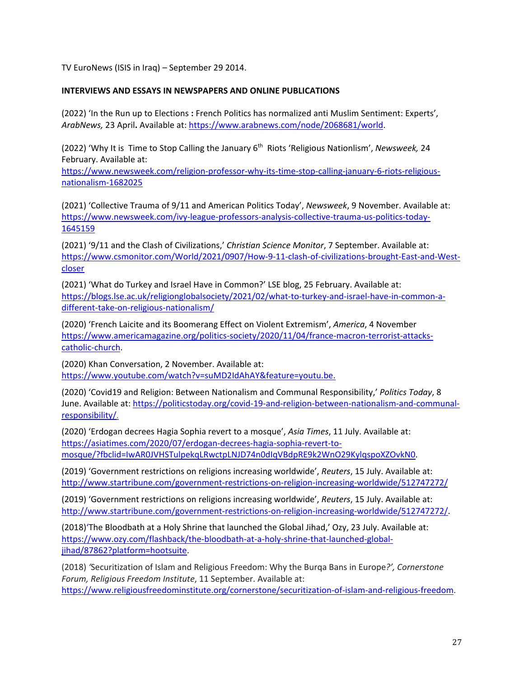TV EuroNews (ISIS in Iraq) – September 29 2014.

## **INTERVIEWS AND ESSAYS IN NEWSPAPERS AND ONLINE PUBLICATIONS**

(2022) 'In the Run up to Elections **:** French Politics has normalized anti Muslim Sentiment: Experts', *ArabNews,* 23 April**.** Available at: [https://www.arabnews.com/node/2068681/world.](https://www.arabnews.com/node/2068681/world)

(2022) 'Why It is Time to Stop Calling the January 6th Riots 'Religious Nationlism', *Newsweek,* 24 February. Available at:

[https://www.newsweek.com/religion-professor-why-its-time-stop-calling-january-6-riots-religious](https://www.newsweek.com/religion-professor-why-its-time-stop-calling-january-6-riots-religious-nationalism-1682025)[nationalism-1682025](https://www.newsweek.com/religion-professor-why-its-time-stop-calling-january-6-riots-religious-nationalism-1682025)

(2021) 'Collective Trauma of 9/11 and American Politics Today', *Newsweek*, 9 November. Available at: [https://www.newsweek.com/ivy-league-professors-analysis-collective-trauma-us-politics-today-](https://www.newsweek.com/ivy-league-professors-analysis-collective-trauma-us-politics-today-1645159)[1645159](https://www.newsweek.com/ivy-league-professors-analysis-collective-trauma-us-politics-today-1645159)

(2021) '9/11 and the Clash of Civilizations,' *Christian Science Monitor*, 7 September. Available at: [https://www.csmonitor.com/World/2021/0907/How-9-11-clash-of-civilizations-brought-East-and-West](https://www.csmonitor.com/World/2021/0907/How-9-11-clash-of-civilizations-brought-East-and-West-closer)[closer](https://www.csmonitor.com/World/2021/0907/How-9-11-clash-of-civilizations-brought-East-and-West-closer)

(2021) 'What do Turkey and Israel Have in Common?' LSE blog, 25 February. Available at: [https://blogs.lse.ac.uk/religionglobalsociety/2021/02/what-to-turkey-and-israel-have-in-common-a](https://blogs.lse.ac.uk/religionglobalsociety/2021/02/what-to-turkey-and-israel-have-in-common-a-different-take-on-religious-nationalism/)[different-take-on-religious-nationalism/](https://blogs.lse.ac.uk/religionglobalsociety/2021/02/what-to-turkey-and-israel-have-in-common-a-different-take-on-religious-nationalism/)

(2020) 'French Laicite and its Boomerang Effect on Violent Extremism', *America*, 4 November [https://www.americamagazine.org/politics-society/2020/11/04/france-macron-terrorist-attacks](https://www.americamagazine.org/politics-society/2020/11/04/france-macron-terrorist-attacks-catholic-church)[catholic-church.](https://www.americamagazine.org/politics-society/2020/11/04/france-macron-terrorist-attacks-catholic-church)

(2020) Khan Conversation, 2 November. Available at: [https://www.youtube.com/watch?v=suMD2IdAhAY&feature=youtu.be.](https://www.youtube.com/watch?v=suMD2IdAhAY&feature=youtu.be)

(2020) 'Covid19 and Religion: Between Nationalism and Communal Responsibility,' *Politics Today*, 8 June. Available at: [https://politicstoday.org/covid-19-and-religion-between-nationalism-and-communal](https://politicstoday.org/covid-19-and-religion-between-nationalism-and-communal-responsibility/)[responsibility/.](https://politicstoday.org/covid-19-and-religion-between-nationalism-and-communal-responsibility/)

(2020) 'Erdogan decrees Hagia Sophia revert to a mosque', *Asia Times*, 11 July. Available at: [https://asiatimes.com/2020/07/erdogan-decrees-hagia-sophia-revert-to](https://asiatimes.com/2020/07/erdogan-decrees-hagia-sophia-revert-to-mosque/?fbclid=IwAR0JVHSTulpekqLRwctpLNJD74n0dIqVBdpRE9k2WnO29KylqspoXZOvkN0)[mosque/?fbclid=IwAR0JVHSTulpekqLRwctpLNJD74n0dIqVBdpRE9k2WnO29KylqspoXZOvkN0.](https://asiatimes.com/2020/07/erdogan-decrees-hagia-sophia-revert-to-mosque/?fbclid=IwAR0JVHSTulpekqLRwctpLNJD74n0dIqVBdpRE9k2WnO29KylqspoXZOvkN0)

(2019) 'Government restrictions on religions increasing worldwide', *Reuters*, 15 July. Available at: <http://www.startribune.com/government-restrictions-on-religion-increasing-worldwide/512747272/>

(2019) 'Government restrictions on religions increasing worldwide', *Reuters*, 15 July. Available at: [http://www.startribune.com/government-restrictions-on-religion-increasing-worldwide/512747272/.](http://www.startribune.com/government-restrictions-on-religion-increasing-worldwide/512747272/)

(2018)'The Bloodbath at a Holy Shrine that launched the Global Jihad,' Ozy, 23 July. Available at: [https://www.ozy.com/flashback/the-bloodbath-at-a-holy-shrine-that-launched-global](https://www.ozy.com/flashback/the-bloodbath-at-a-holy-shrine-that-launched-global-jihad/87862?platform=hootsuite)[jihad/87862?platform=hootsuite.](https://www.ozy.com/flashback/the-bloodbath-at-a-holy-shrine-that-launched-global-jihad/87862?platform=hootsuite)

(2018) *'*Securitization of Islam and Religious Freedom: Why the Burqa Bans in Europe*?', Cornerstone Forum, Religious Freedom Institute*, 11 September. Available at: [https://www.religiousfreedominstitute.org/cornerstone/securitization-of-islam-and-religious-freedom.](https://www.religiousfreedominstitute.org/cornerstone/securitization-of-islam-and-religious-freedom)